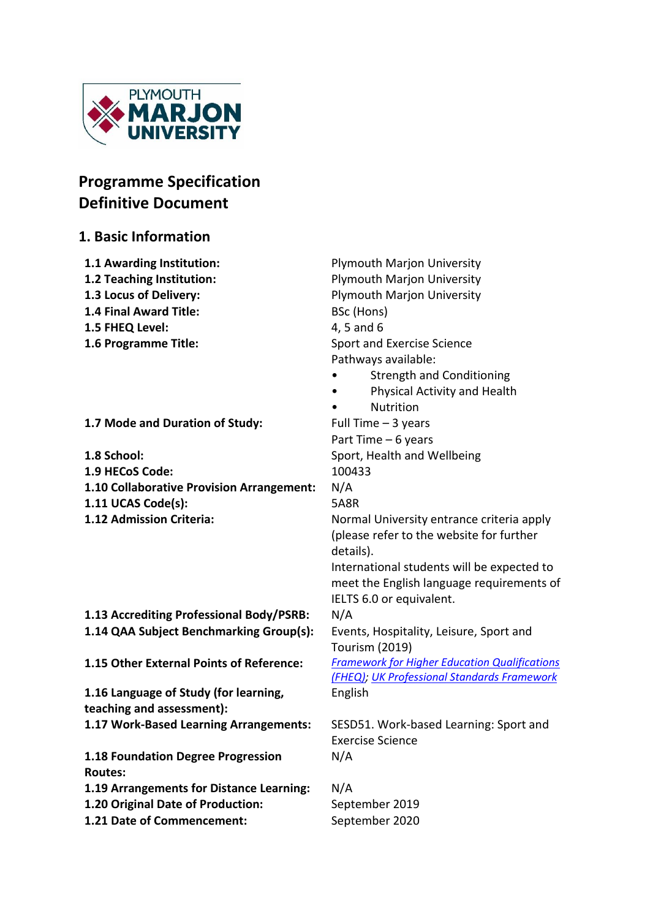

# **Programme Specification Definitive Document**

# **1. Basic Information**

| 1.1 Awarding Institution:                     | <b>Plymouth Marjon University</b>                    |  |  |  |  |
|-----------------------------------------------|------------------------------------------------------|--|--|--|--|
| 1.2 Teaching Institution:                     | <b>Plymouth Marjon University</b>                    |  |  |  |  |
| 1.3 Locus of Delivery:                        | <b>Plymouth Marjon University</b>                    |  |  |  |  |
| 1.4 Final Award Title:                        | BSc (Hons)                                           |  |  |  |  |
| 1.5 FHEQ Level:                               | 4, 5 and 6                                           |  |  |  |  |
| 1.6 Programme Title:                          | Sport and Exercise Science                           |  |  |  |  |
|                                               | Pathways available:                                  |  |  |  |  |
|                                               | <b>Strength and Conditioning</b>                     |  |  |  |  |
|                                               | Physical Activity and Health                         |  |  |  |  |
|                                               | Nutrition                                            |  |  |  |  |
| 1.7 Mode and Duration of Study:               | Full Time $-3$ years                                 |  |  |  |  |
|                                               | Part Time - 6 years                                  |  |  |  |  |
| 1.8 School:                                   | Sport, Health and Wellbeing                          |  |  |  |  |
| 1.9 HECoS Code:                               | 100433                                               |  |  |  |  |
| 1.10 Collaborative Provision Arrangement:     | N/A                                                  |  |  |  |  |
| 1.11 UCAS Code(s):                            | <b>5A8R</b>                                          |  |  |  |  |
| 1.12 Admission Criteria:                      | Normal University entrance criteria apply            |  |  |  |  |
|                                               | (please refer to the website for further             |  |  |  |  |
|                                               | details).                                            |  |  |  |  |
|                                               | International students will be expected to           |  |  |  |  |
|                                               | meet the English language requirements of            |  |  |  |  |
|                                               | IELTS 6.0 or equivalent.                             |  |  |  |  |
| 1.13 Accrediting Professional Body/PSRB:      | N/A                                                  |  |  |  |  |
| 1.14 QAA Subject Benchmarking Group(s):       | Events, Hospitality, Leisure, Sport and              |  |  |  |  |
|                                               | <b>Tourism (2019)</b>                                |  |  |  |  |
| 1.15 Other External Points of Reference:      | <b>Framework for Higher Education Qualifications</b> |  |  |  |  |
|                                               | (FHEQ); UK Professional Standards Framework          |  |  |  |  |
| 1.16 Language of Study (for learning,         | English                                              |  |  |  |  |
| teaching and assessment):                     |                                                      |  |  |  |  |
| 1.17 Work-Based Learning Arrangements:        | SESD51. Work-based Learning: Sport and               |  |  |  |  |
|                                               | <b>Exercise Science</b>                              |  |  |  |  |
| 1.18 Foundation Degree Progression            | N/A                                                  |  |  |  |  |
| <b>Routes:</b>                                |                                                      |  |  |  |  |
| 1.19 Arrangements for Distance Learning:<br>. | N/A                                                  |  |  |  |  |

**1.20 Original Date of Production:** September 2019<br>**1.21 Date of Commencement:** September 2020 **1.21 Date of Commencement:**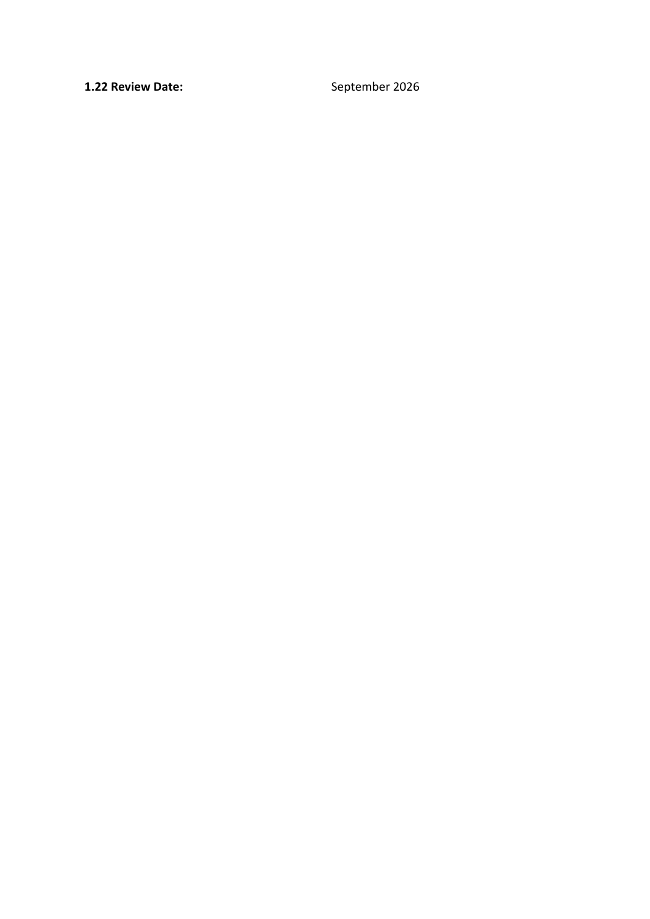**1.22 Review Date:** September 2026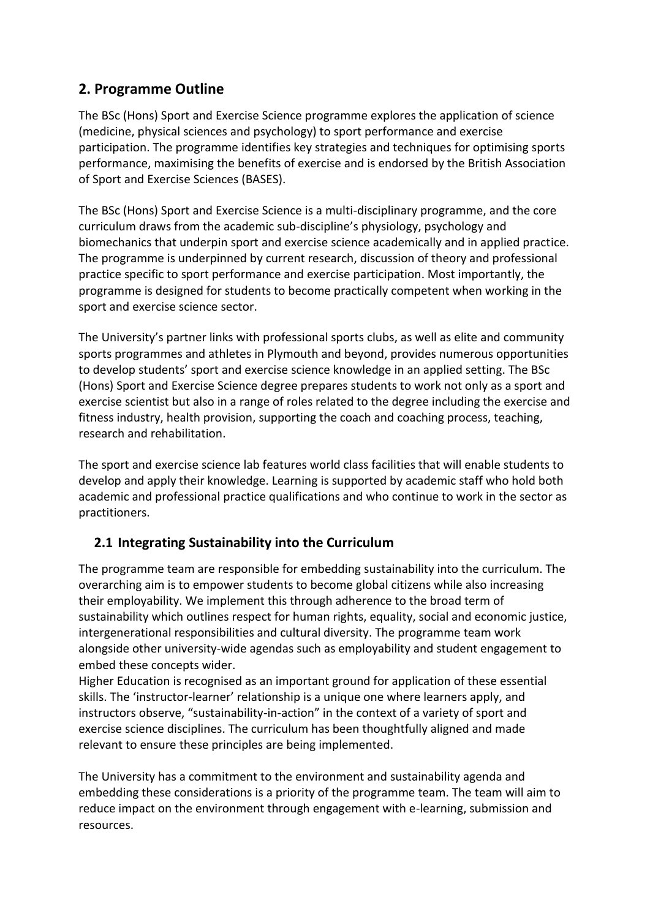# **2. Programme Outline**

The BSc (Hons) Sport and Exercise Science programme explores the application of science (medicine, physical sciences and psychology) to sport performance and exercise participation. The programme identifies key strategies and techniques for optimising sports performance, maximising the benefits of exercise and is endorsed by the British Association of Sport and Exercise Sciences (BASES).

The BSc (Hons) Sport and Exercise Science is a multi-disciplinary programme, and the core curriculum draws from the academic sub-discipline's physiology, psychology and biomechanics that underpin sport and exercise science academically and in applied practice. The programme is underpinned by current research, discussion of theory and professional practice specific to sport performance and exercise participation. Most importantly, the programme is designed for students to become practically competent when working in the sport and exercise science sector.

The University's partner links with professional sports clubs, as well as elite and community sports programmes and athletes in Plymouth and beyond, provides numerous opportunities to develop students' sport and exercise science knowledge in an applied setting. The BSc (Hons) Sport and Exercise Science degree prepares students to work not only as a sport and exercise scientist but also in a range of roles related to the degree including the exercise and fitness industry, health provision, supporting the coach and coaching process, teaching, research and rehabilitation.

The sport and exercise science lab features world class facilities that will enable students to develop and apply their knowledge. Learning is supported by academic staff who hold both academic and professional practice qualifications and who continue to work in the sector as practitioners.

# **2.1 Integrating Sustainability into the Curriculum**

The programme team are responsible for embedding sustainability into the curriculum. The overarching aim is to empower students to become global citizens while also increasing their employability. We implement this through adherence to the broad term of sustainability which outlines respect for human rights, equality, social and economic justice, intergenerational responsibilities and cultural diversity. The programme team work alongside other university-wide agendas such as employability and student engagement to embed these concepts wider.

Higher Education is recognised as an important ground for application of these essential skills. The 'instructor-learner' relationship is a unique one where learners apply, and instructors observe, "sustainability-in-action" in the context of a variety of sport and exercise science disciplines. The curriculum has been thoughtfully aligned and made relevant to ensure these principles are being implemented.

The University has a commitment to the environment and sustainability agenda and embedding these considerations is a priority of the programme team. The team will aim to reduce impact on the environment through engagement with e-learning, submission and resources.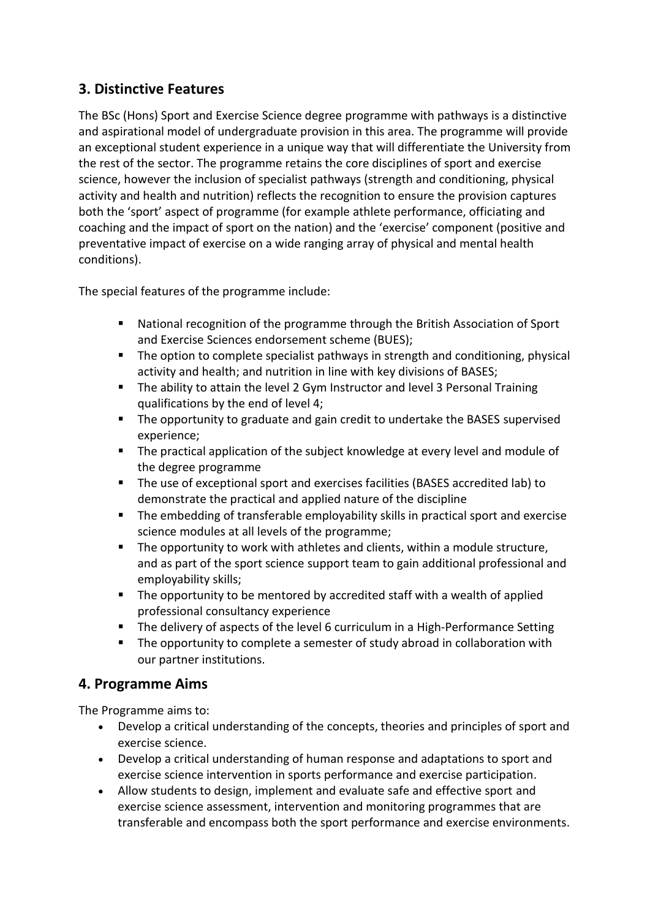# **3. Distinctive Features**

The BSc (Hons) Sport and Exercise Science degree programme with pathways is a distinctive and aspirational model of undergraduate provision in this area. The programme will provide an exceptional student experience in a unique way that will differentiate the University from the rest of the sector. The programme retains the core disciplines of sport and exercise science, however the inclusion of specialist pathways (strength and conditioning, physical activity and health and nutrition) reflects the recognition to ensure the provision captures both the 'sport' aspect of programme (for example athlete performance, officiating and coaching and the impact of sport on the nation) and the 'exercise' component (positive and preventative impact of exercise on a wide ranging array of physical and mental health conditions).

The special features of the programme include:

- National recognition of the programme through the British Association of Sport and Exercise Sciences endorsement scheme (BUES);
- The option to complete specialist pathways in strength and conditioning, physical activity and health; and nutrition in line with key divisions of BASES;
- The ability to attain the level 2 Gym Instructor and level 3 Personal Training qualifications by the end of level 4;
- The opportunity to graduate and gain credit to undertake the BASES supervised experience;
- The practical application of the subject knowledge at every level and module of the degree programme
- The use of exceptional sport and exercises facilities (BASES accredited lab) to demonstrate the practical and applied nature of the discipline
- The embedding of transferable employability skills in practical sport and exercise science modules at all levels of the programme;
- The opportunity to work with athletes and clients, within a module structure, and as part of the sport science support team to gain additional professional and employability skills;
- The opportunity to be mentored by accredited staff with a wealth of applied professional consultancy experience
- The delivery of aspects of the level 6 curriculum in a High-Performance Setting
- The opportunity to complete a semester of study abroad in collaboration with our partner institutions.

# **4. Programme Aims**

The Programme aims to:

- Develop a critical understanding of the concepts, theories and principles of sport and exercise science.
- Develop a critical understanding of human response and adaptations to sport and exercise science intervention in sports performance and exercise participation.
- Allow students to design, implement and evaluate safe and effective sport and exercise science assessment, intervention and monitoring programmes that are transferable and encompass both the sport performance and exercise environments.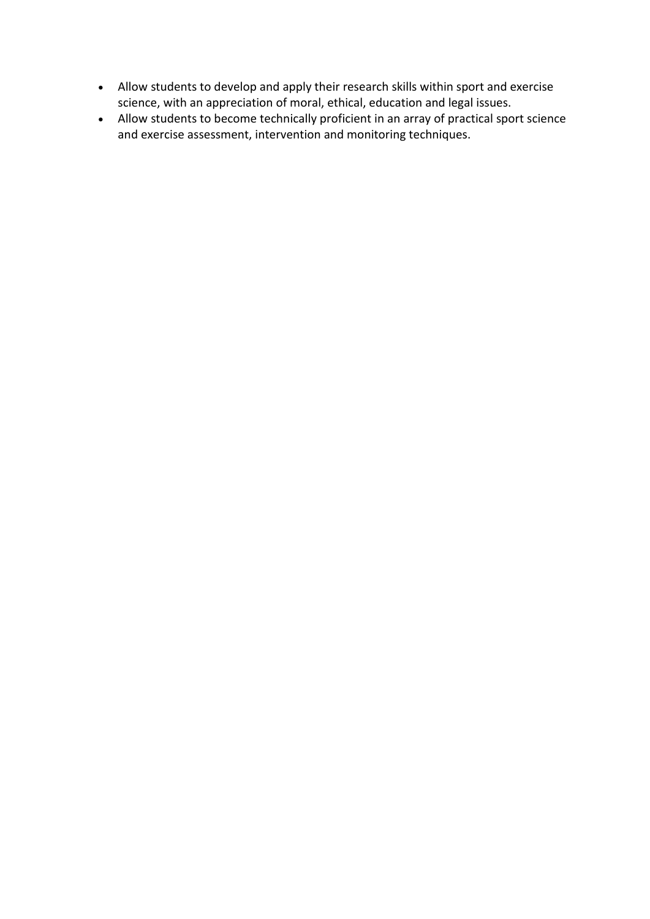- Allow students to develop and apply their research skills within sport and exercise science, with an appreciation of moral, ethical, education and legal issues.
- Allow students to become technically proficient in an array of practical sport science and exercise assessment, intervention and monitoring techniques.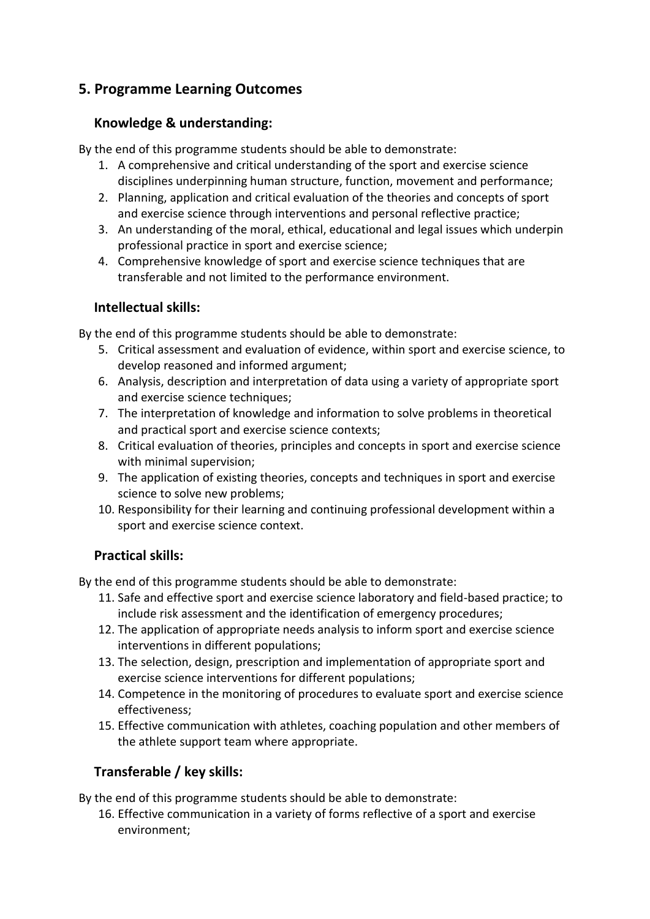# **5. Programme Learning Outcomes**

## **Knowledge & understanding:**

By the end of this programme students should be able to demonstrate:

- 1. A comprehensive and critical understanding of the sport and exercise science disciplines underpinning human structure, function, movement and performance;
- 2. Planning, application and critical evaluation of the theories and concepts of sport and exercise science through interventions and personal reflective practice;
- 3. An understanding of the moral, ethical, educational and legal issues which underpin professional practice in sport and exercise science;
- 4. Comprehensive knowledge of sport and exercise science techniques that are transferable and not limited to the performance environment.

## **Intellectual skills:**

By the end of this programme students should be able to demonstrate:

- 5. Critical assessment and evaluation of evidence, within sport and exercise science, to develop reasoned and informed argument;
- 6. Analysis, description and interpretation of data using a variety of appropriate sport and exercise science techniques;
- 7. The interpretation of knowledge and information to solve problems in theoretical and practical sport and exercise science contexts;
- 8. Critical evaluation of theories, principles and concepts in sport and exercise science with minimal supervision;
- 9. The application of existing theories, concepts and techniques in sport and exercise science to solve new problems;
- 10. Responsibility for their learning and continuing professional development within a sport and exercise science context.

## **Practical skills:**

By the end of this programme students should be able to demonstrate:

- 11. Safe and effective sport and exercise science laboratory and field-based practice; to include risk assessment and the identification of emergency procedures;
- 12. The application of appropriate needs analysis to inform sport and exercise science interventions in different populations;
- 13. The selection, design, prescription and implementation of appropriate sport and exercise science interventions for different populations;
- 14. Competence in the monitoring of procedures to evaluate sport and exercise science effectiveness;
- 15. Effective communication with athletes, coaching population and other members of the athlete support team where appropriate.

# **Transferable / key skills:**

By the end of this programme students should be able to demonstrate:

16. Effective communication in a variety of forms reflective of a sport and exercise environment;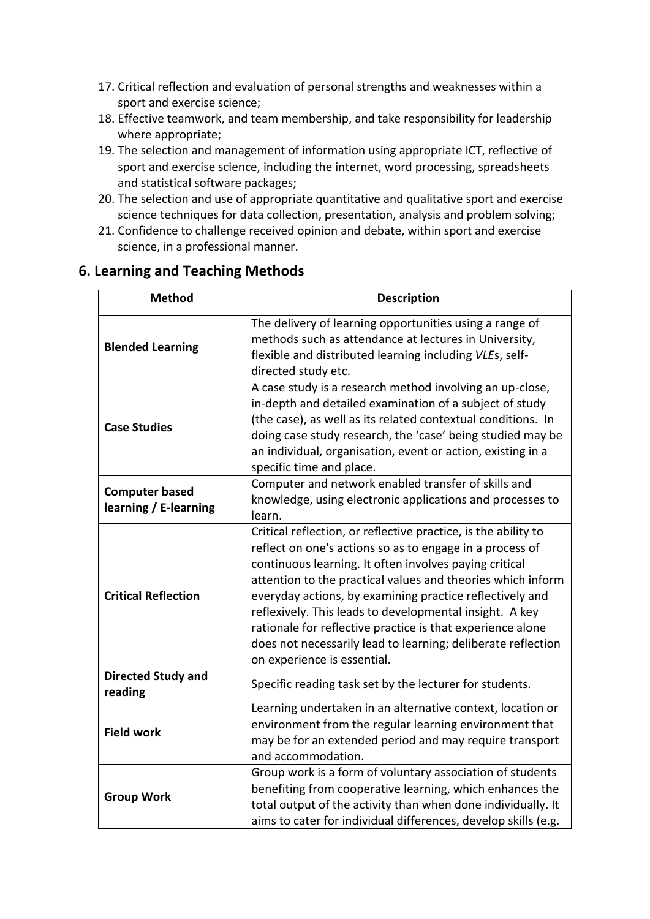- 17. Critical reflection and evaluation of personal strengths and weaknesses within a sport and exercise science;
- 18. Effective teamwork, and team membership, and take responsibility for leadership where appropriate;
- 19. The selection and management of information using appropriate ICT, reflective of sport and exercise science, including the internet, word processing, spreadsheets and statistical software packages;
- 20. The selection and use of appropriate quantitative and qualitative sport and exercise science techniques for data collection, presentation, analysis and problem solving;
- 21. Confidence to challenge received opinion and debate, within sport and exercise science, in a professional manner.

## **6. Learning and Teaching Methods**

| <b>Method</b>                                  | <b>Description</b>                                                                                                                                                                                                                                                                                                                                                                                                                                                                                                                      |
|------------------------------------------------|-----------------------------------------------------------------------------------------------------------------------------------------------------------------------------------------------------------------------------------------------------------------------------------------------------------------------------------------------------------------------------------------------------------------------------------------------------------------------------------------------------------------------------------------|
| <b>Blended Learning</b>                        | The delivery of learning opportunities using a range of<br>methods such as attendance at lectures in University,<br>flexible and distributed learning including VLEs, self-<br>directed study etc.                                                                                                                                                                                                                                                                                                                                      |
| <b>Case Studies</b>                            | A case study is a research method involving an up-close,<br>in-depth and detailed examination of a subject of study<br>(the case), as well as its related contextual conditions. In<br>doing case study research, the 'case' being studied may be<br>an individual, organisation, event or action, existing in a<br>specific time and place.                                                                                                                                                                                            |
| <b>Computer based</b><br>learning / E-learning | Computer and network enabled transfer of skills and<br>knowledge, using electronic applications and processes to<br>learn.                                                                                                                                                                                                                                                                                                                                                                                                              |
| <b>Critical Reflection</b>                     | Critical reflection, or reflective practice, is the ability to<br>reflect on one's actions so as to engage in a process of<br>continuous learning. It often involves paying critical<br>attention to the practical values and theories which inform<br>everyday actions, by examining practice reflectively and<br>reflexively. This leads to developmental insight. A key<br>rationale for reflective practice is that experience alone<br>does not necessarily lead to learning; deliberate reflection<br>on experience is essential. |
| <b>Directed Study and</b><br>reading           | Specific reading task set by the lecturer for students.                                                                                                                                                                                                                                                                                                                                                                                                                                                                                 |
| <b>Field work</b>                              | Learning undertaken in an alternative context, location or<br>environment from the regular learning environment that<br>may be for an extended period and may require transport<br>and accommodation.                                                                                                                                                                                                                                                                                                                                   |
| <b>Group Work</b>                              | Group work is a form of voluntary association of students<br>benefiting from cooperative learning, which enhances the<br>total output of the activity than when done individually. It<br>aims to cater for individual differences, develop skills (e.g.                                                                                                                                                                                                                                                                                 |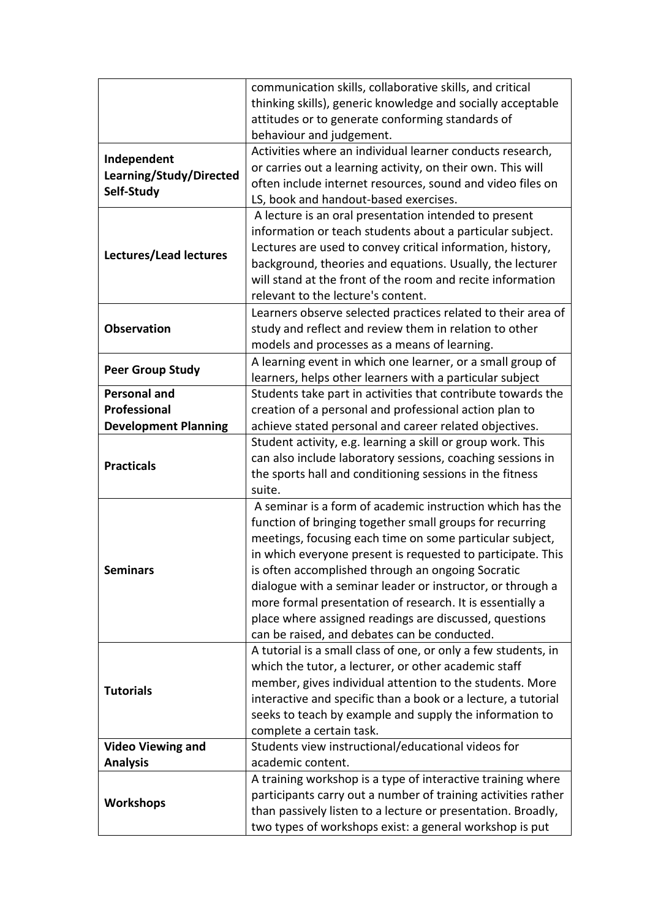|                             | communication skills, collaborative skills, and critical       |
|-----------------------------|----------------------------------------------------------------|
|                             | thinking skills), generic knowledge and socially acceptable    |
|                             | attitudes or to generate conforming standards of               |
|                             | behaviour and judgement.                                       |
| Independent                 | Activities where an individual learner conducts research,      |
|                             | or carries out a learning activity, on their own. This will    |
| Learning/Study/Directed     | often include internet resources, sound and video files on     |
| Self-Study                  | LS, book and handout-based exercises.                          |
|                             | A lecture is an oral presentation intended to present          |
|                             | information or teach students about a particular subject.      |
|                             | Lectures are used to convey critical information, history,     |
| Lectures/Lead lectures      | background, theories and equations. Usually, the lecturer      |
|                             | will stand at the front of the room and recite information     |
|                             | relevant to the lecture's content.                             |
|                             | Learners observe selected practices related to their area of   |
| <b>Observation</b>          | study and reflect and review them in relation to other         |
|                             | models and processes as a means of learning.                   |
|                             | A learning event in which one learner, or a small group of     |
| <b>Peer Group Study</b>     | learners, helps other learners with a particular subject       |
| <b>Personal and</b>         | Students take part in activities that contribute towards the   |
| Professional                | creation of a personal and professional action plan to         |
| <b>Development Planning</b> | achieve stated personal and career related objectives.         |
|                             | Student activity, e.g. learning a skill or group work. This    |
|                             | can also include laboratory sessions, coaching sessions in     |
| <b>Practicals</b>           | the sports hall and conditioning sessions in the fitness       |
|                             | suite.                                                         |
|                             | A seminar is a form of academic instruction which has the      |
|                             | function of bringing together small groups for recurring       |
|                             | meetings, focusing each time on some particular subject,       |
|                             | in which everyone present is requested to participate. This    |
| Seminars                    | is often accomplished through an ongoing Socratic              |
|                             | dialogue with a seminar leader or instructor, or through a     |
|                             | more formal presentation of research. It is essentially a      |
|                             | place where assigned readings are discussed, questions         |
|                             | can be raised, and debates can be conducted.                   |
|                             | A tutorial is a small class of one, or only a few students, in |
|                             | which the tutor, a lecturer, or other academic staff           |
|                             | member, gives individual attention to the students. More       |
| <b>Tutorials</b>            | interactive and specific than a book or a lecture, a tutorial  |
|                             | seeks to teach by example and supply the information to        |
|                             | complete a certain task.                                       |
| <b>Video Viewing and</b>    | Students view instructional/educational videos for             |
| <b>Analysis</b>             | academic content.                                              |
|                             | A training workshop is a type of interactive training where    |
|                             | participants carry out a number of training activities rather  |
| <b>Workshops</b>            | than passively listen to a lecture or presentation. Broadly,   |
|                             | two types of workshops exist: a general workshop is put        |
|                             |                                                                |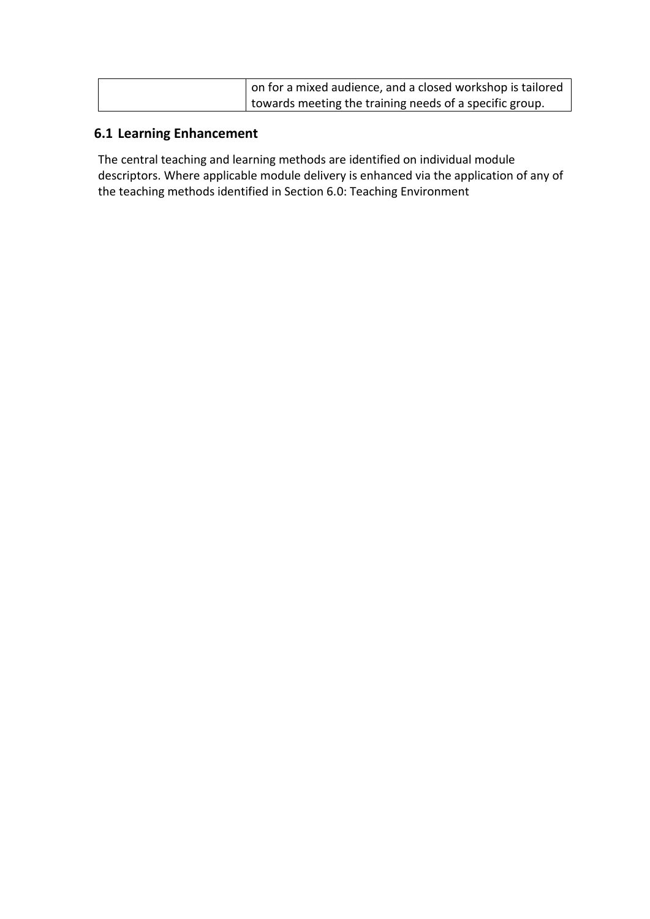| on for a mixed audience, and a closed workshop is tailored |
|------------------------------------------------------------|
| I towards meeting the training needs of a specific group.  |

## **6.1 Learning Enhancement**

The central teaching and learning methods are identified on individual module descriptors. Where applicable module delivery is enhanced via the application of any of the teaching methods identified in Section 6.0: Teaching Environment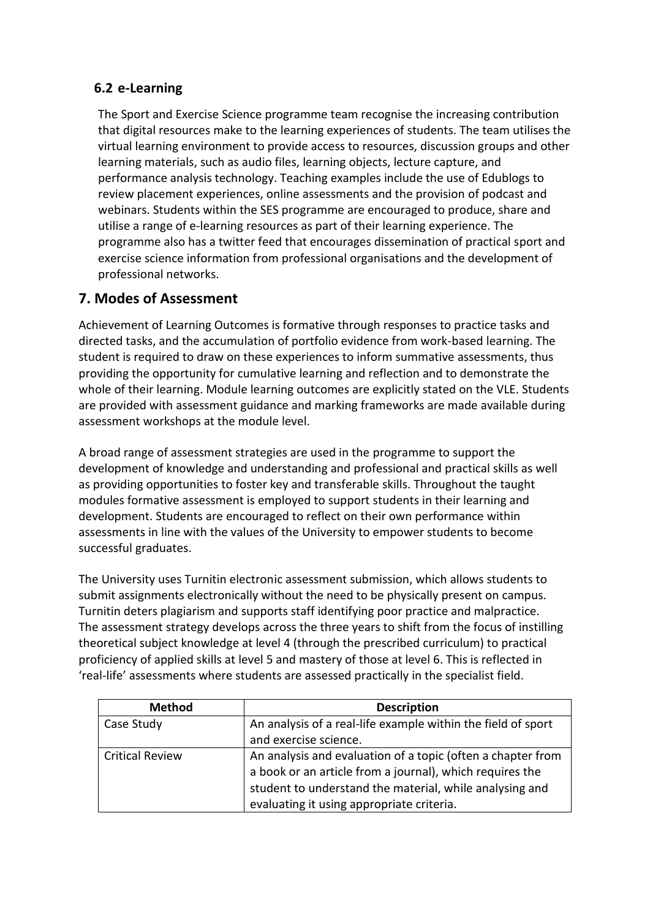## **6.2 e-Learning**

The Sport and Exercise Science programme team recognise the increasing contribution that digital resources make to the learning experiences of students. The team utilises the virtual learning environment to provide access to resources, discussion groups and other learning materials, such as audio files, learning objects, lecture capture, and performance analysis technology. Teaching examples include the use of Edublogs to review placement experiences, online assessments and the provision of podcast and webinars. Students within the SES programme are encouraged to produce, share and utilise a range of e-learning resources as part of their learning experience. The programme also has a twitter feed that encourages dissemination of practical sport and exercise science information from professional organisations and the development of professional networks.

# **7. Modes of Assessment**

Achievement of Learning Outcomes is formative through responses to practice tasks and directed tasks, and the accumulation of portfolio evidence from work-based learning. The student is required to draw on these experiences to inform summative assessments, thus providing the opportunity for cumulative learning and reflection and to demonstrate the whole of their learning. Module learning outcomes are explicitly stated on the VLE. Students are provided with assessment guidance and marking frameworks are made available during assessment workshops at the module level.

A broad range of assessment strategies are used in the programme to support the development of knowledge and understanding and professional and practical skills as well as providing opportunities to foster key and transferable skills. Throughout the taught modules formative assessment is employed to support students in their learning and development. Students are encouraged to reflect on their own performance within assessments in line with the values of the University to empower students to become successful graduates.

The University uses Turnitin electronic assessment submission, which allows students to submit assignments electronically without the need to be physically present on campus. Turnitin deters plagiarism and supports staff identifying poor practice and malpractice. The assessment strategy develops across the three years to shift from the focus of instilling theoretical subject knowledge at level 4 (through the prescribed curriculum) to practical proficiency of applied skills at level 5 and mastery of those at level 6. This is reflected in 'real-life' assessments where students are assessed practically in the specialist field.

| <b>Method</b>          | <b>Description</b>                                           |
|------------------------|--------------------------------------------------------------|
| Case Study             | An analysis of a real-life example within the field of sport |
|                        | and exercise science.                                        |
| <b>Critical Review</b> | An analysis and evaluation of a topic (often a chapter from  |
|                        | a book or an article from a journal), which requires the     |
|                        | student to understand the material, while analysing and      |
|                        | evaluating it using appropriate criteria.                    |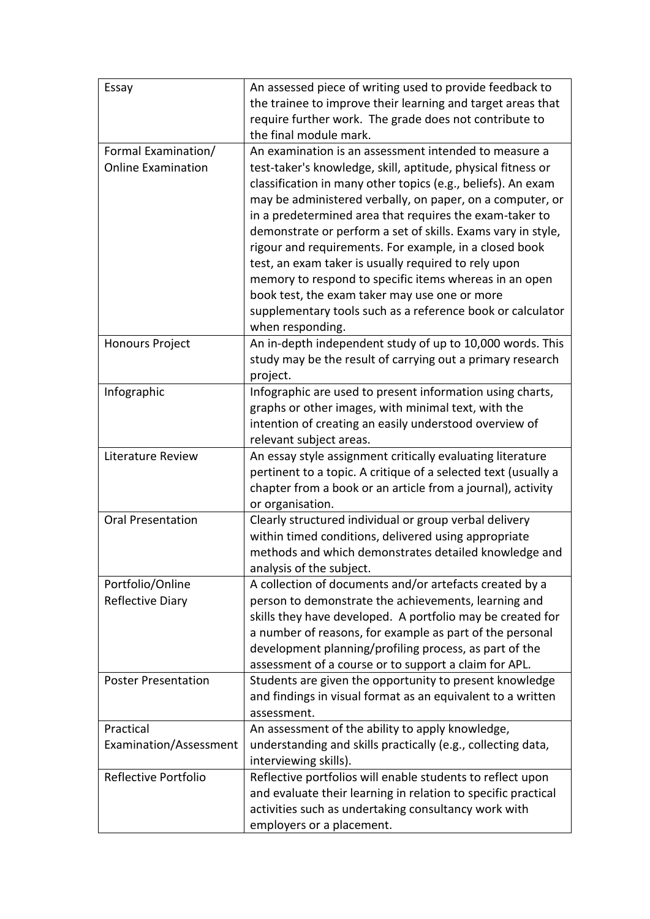| Essay                                            | An assessed piece of writing used to provide feedback to<br>the trainee to improve their learning and target areas that<br>require further work. The grade does not contribute to<br>the final module mark.                                                                                                                                                                                                                                                                                                                                                                                                                                                                                  |
|--------------------------------------------------|----------------------------------------------------------------------------------------------------------------------------------------------------------------------------------------------------------------------------------------------------------------------------------------------------------------------------------------------------------------------------------------------------------------------------------------------------------------------------------------------------------------------------------------------------------------------------------------------------------------------------------------------------------------------------------------------|
| Formal Examination/<br><b>Online Examination</b> | An examination is an assessment intended to measure a<br>test-taker's knowledge, skill, aptitude, physical fitness or<br>classification in many other topics (e.g., beliefs). An exam<br>may be administered verbally, on paper, on a computer, or<br>in a predetermined area that requires the exam-taker to<br>demonstrate or perform a set of skills. Exams vary in style,<br>rigour and requirements. For example, in a closed book<br>test, an exam taker is usually required to rely upon<br>memory to respond to specific items whereas in an open<br>book test, the exam taker may use one or more<br>supplementary tools such as a reference book or calculator<br>when responding. |
| <b>Honours Project</b>                           | An in-depth independent study of up to 10,000 words. This<br>study may be the result of carrying out a primary research<br>project.                                                                                                                                                                                                                                                                                                                                                                                                                                                                                                                                                          |
| Infographic                                      | Infographic are used to present information using charts,<br>graphs or other images, with minimal text, with the<br>intention of creating an easily understood overview of<br>relevant subject areas.                                                                                                                                                                                                                                                                                                                                                                                                                                                                                        |
| Literature Review                                | An essay style assignment critically evaluating literature<br>pertinent to a topic. A critique of a selected text (usually a<br>chapter from a book or an article from a journal), activity<br>or organisation.                                                                                                                                                                                                                                                                                                                                                                                                                                                                              |
| <b>Oral Presentation</b>                         | Clearly structured individual or group verbal delivery<br>within timed conditions, delivered using appropriate<br>methods and which demonstrates detailed knowledge and<br>analysis of the subject.                                                                                                                                                                                                                                                                                                                                                                                                                                                                                          |
| Portfolio/Online<br>Reflective Diary             | A collection of documents and/or artefacts created by a<br>person to demonstrate the achievements, learning and<br>skills they have developed. A portfolio may be created for<br>a number of reasons, for example as part of the personal<br>development planning/profiling process, as part of the<br>assessment of a course or to support a claim for APL.                                                                                                                                                                                                                                                                                                                                 |
| <b>Poster Presentation</b>                       | Students are given the opportunity to present knowledge<br>and findings in visual format as an equivalent to a written<br>assessment.                                                                                                                                                                                                                                                                                                                                                                                                                                                                                                                                                        |
| Practical<br>Examination/Assessment              | An assessment of the ability to apply knowledge,<br>understanding and skills practically (e.g., collecting data,<br>interviewing skills).                                                                                                                                                                                                                                                                                                                                                                                                                                                                                                                                                    |
| Reflective Portfolio                             | Reflective portfolios will enable students to reflect upon<br>and evaluate their learning in relation to specific practical<br>activities such as undertaking consultancy work with<br>employers or a placement.                                                                                                                                                                                                                                                                                                                                                                                                                                                                             |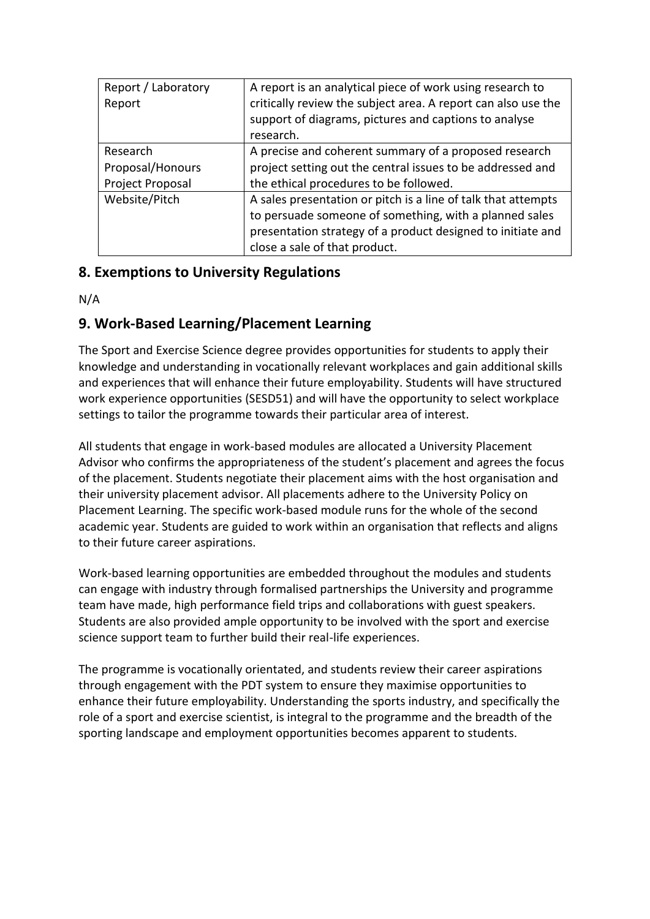| Report / Laboratory | A report is an analytical piece of work using research to     |
|---------------------|---------------------------------------------------------------|
| Report              | critically review the subject area. A report can also use the |
|                     | support of diagrams, pictures and captions to analyse         |
|                     | research.                                                     |
| Research            | A precise and coherent summary of a proposed research         |
| Proposal/Honours    | project setting out the central issues to be addressed and    |
| Project Proposal    | the ethical procedures to be followed.                        |
| Website/Pitch       | A sales presentation or pitch is a line of talk that attempts |
|                     | to persuade someone of something, with a planned sales        |
|                     | presentation strategy of a product designed to initiate and   |
|                     | close a sale of that product.                                 |

# **8. Exemptions to University Regulations**

N/A

# **9. Work-Based Learning/Placement Learning**

The Sport and Exercise Science degree provides opportunities for students to apply their knowledge and understanding in vocationally relevant workplaces and gain additional skills and experiences that will enhance their future employability. Students will have structured work experience opportunities (SESD51) and will have the opportunity to select workplace settings to tailor the programme towards their particular area of interest.

All students that engage in work-based modules are allocated a University Placement Advisor who confirms the appropriateness of the student's placement and agrees the focus of the placement. Students negotiate their placement aims with the host organisation and their university placement advisor. All placements adhere to the University Policy on Placement Learning. The specific work-based module runs for the whole of the second academic year. Students are guided to work within an organisation that reflects and aligns to their future career aspirations.

Work-based learning opportunities are embedded throughout the modules and students can engage with industry through formalised partnerships the University and programme team have made, high performance field trips and collaborations with guest speakers. Students are also provided ample opportunity to be involved with the sport and exercise science support team to further build their real-life experiences.

The programme is vocationally orientated, and students review their career aspirations through engagement with the PDT system to ensure they maximise opportunities to enhance their future employability. Understanding the sports industry, and specifically the role of a sport and exercise scientist, is integral to the programme and the breadth of the sporting landscape and employment opportunities becomes apparent to students.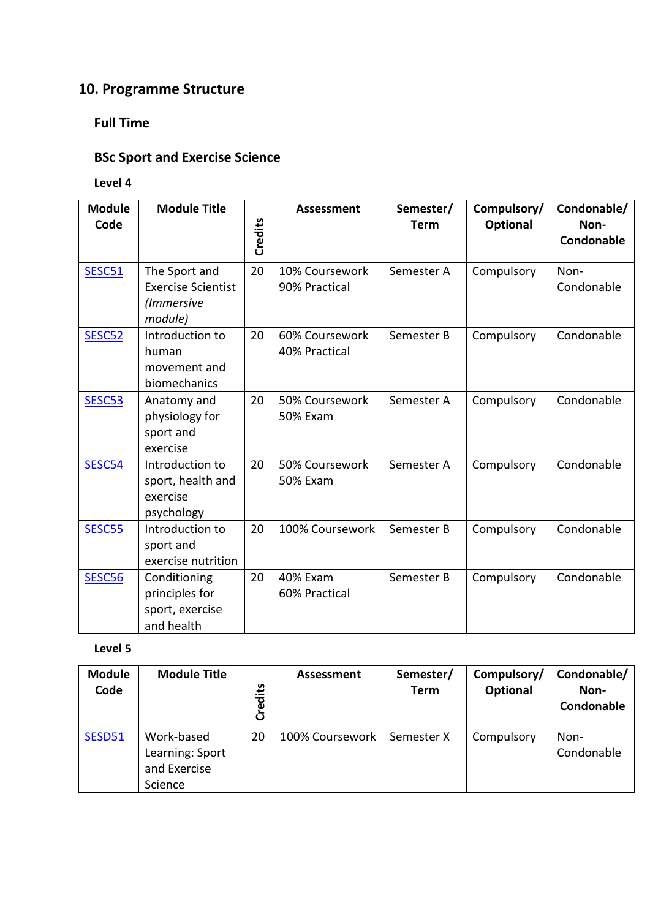# **10. Programme Structure**

# **Full Time**

# **BSc Sport and Exercise Science**

## **Level 4**

| <b>Module</b><br>Code | <b>Module Title</b>                                                 | Credits | <b>Assessment</b>                 | Semester/<br><b>Term</b> | Compulsory/<br><b>Optional</b> | Condonable/<br>Non-<br>Condonable |
|-----------------------|---------------------------------------------------------------------|---------|-----------------------------------|--------------------------|--------------------------------|-----------------------------------|
| <b>SESC51</b>         | The Sport and<br><b>Exercise Scientist</b><br>(Immersive<br>module) | 20      | 10% Coursework<br>90% Practical   | Semester A               | Compulsory                     | Non-<br>Condonable                |
| SESC52                | Introduction to<br>human<br>movement and<br>biomechanics            | 20      | 60% Coursework<br>40% Practical   | Semester B               | Compulsory                     | Condonable                        |
| SESC53                | Anatomy and<br>physiology for<br>sport and<br>exercise              | 20      | 50% Coursework<br><b>50% Exam</b> | Semester A               | Compulsory                     | Condonable                        |
| SESC54                | Introduction to<br>sport, health and<br>exercise<br>psychology      | 20      | 50% Coursework<br><b>50% Exam</b> | Semester A               | Compulsory                     | Condonable                        |
| SESC55                | Introduction to<br>sport and<br>exercise nutrition                  | 20      | 100% Coursework                   | Semester B               | Compulsory                     | Condonable                        |
| <b>SESC56</b>         | Conditioning<br>principles for<br>sport, exercise<br>and health     | 20      | 40% Exam<br>60% Practical         | Semester B               | Compulsory                     | Condonable                        |

| <b>Module</b><br>Code | <b>Module Title</b>                                      | Credits | Assessment      | Semester/<br>Term | Compulsory/<br><b>Optional</b> | Condonable/<br>Non-<br>Condonable |
|-----------------------|----------------------------------------------------------|---------|-----------------|-------------------|--------------------------------|-----------------------------------|
| SESD51                | Work-based<br>Learning: Sport<br>and Exercise<br>Science | 20      | 100% Coursework | Semester X        | Compulsory                     | Non-<br>Condonable                |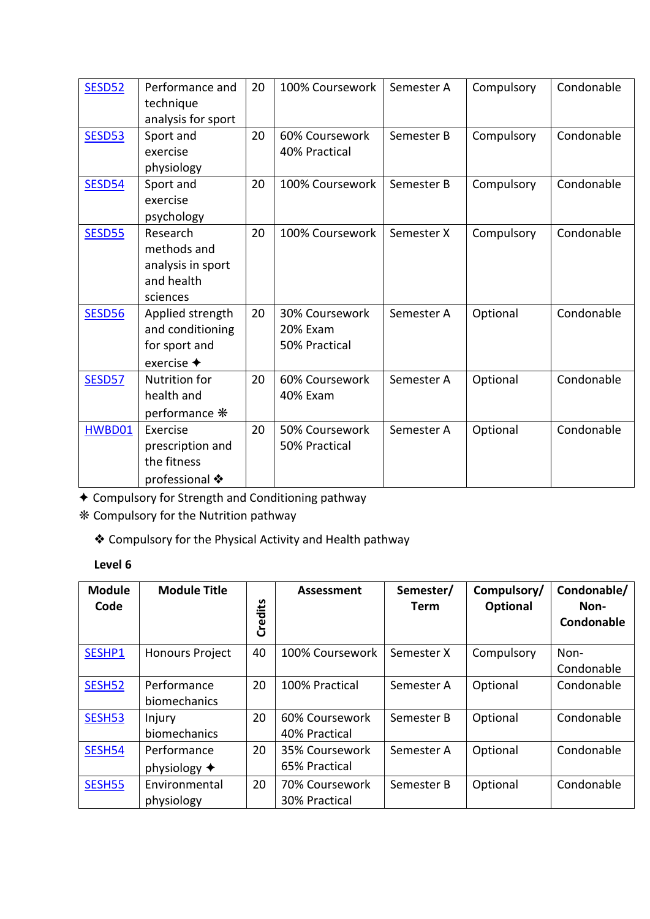| <b>SESD52</b> | Performance and          | 20 | 100% Coursework | Semester A | Compulsory | Condonable |
|---------------|--------------------------|----|-----------------|------------|------------|------------|
|               | technique                |    |                 |            |            |            |
|               | analysis for sport       |    |                 |            |            |            |
| <b>SESD53</b> | Sport and                | 20 | 60% Coursework  | Semester B | Compulsory | Condonable |
|               | exercise                 |    | 40% Practical   |            |            |            |
|               | physiology               |    |                 |            |            |            |
| <b>SESD54</b> | Sport and                | 20 | 100% Coursework | Semester B | Compulsory | Condonable |
|               | exercise                 |    |                 |            |            |            |
|               | psychology               |    |                 |            |            |            |
| <b>SESD55</b> | Research                 | 20 | 100% Coursework | Semester X | Compulsory | Condonable |
|               | methods and              |    |                 |            |            |            |
|               | analysis in sport        |    |                 |            |            |            |
|               | and health               |    |                 |            |            |            |
|               | sciences                 |    |                 |            |            |            |
| <b>SESD56</b> | Applied strength         | 20 | 30% Coursework  | Semester A | Optional   | Condonable |
|               | and conditioning         |    | 20% Exam        |            |            |            |
|               | for sport and            |    | 50% Practical   |            |            |            |
|               | exercise $\triangleleft$ |    |                 |            |            |            |
| <b>SESD57</b> | Nutrition for            | 20 | 60% Coursework  | Semester A | Optional   | Condonable |
|               | health and               |    | 40% Exam        |            |            |            |
|               | performance *            |    |                 |            |            |            |
| HWBD01        | Exercise                 | 20 | 50% Coursework  | Semester A | Optional   | Condonable |
|               | prescription and         |    | 50% Practical   |            |            |            |
|               | the fitness              |    |                 |            |            |            |
|               | professional ❖           |    |                 |            |            |            |

✦ Compulsory for Strength and Conditioning pathway

❋ Compulsory for the Nutrition pathway

❖ Compulsory for the Physical Activity and Health pathway

| <b>Module</b><br>Code | <b>Module Title</b>                   | Credits | Assessment                      | Semester/<br><b>Term</b> | Compulsory/<br>Optional | Condonable/<br>Non-<br>Condonable |
|-----------------------|---------------------------------------|---------|---------------------------------|--------------------------|-------------------------|-----------------------------------|
| SESHP1                | <b>Honours Project</b>                | 40      | 100% Coursework                 | Semester X               | Compulsory              | Non-<br>Condonable                |
| SESH52                | Performance<br>biomechanics           | 20      | 100% Practical                  | Semester A               | Optional                | Condonable                        |
| SESH53                | Injury<br>biomechanics                | 20      | 60% Coursework<br>40% Practical | Semester B               | Optional                | Condonable                        |
| SESH54                | Performance<br>physiology $\triangle$ | 20      | 35% Coursework<br>65% Practical | Semester A               | Optional                | Condonable                        |
| SESH55                | Environmental<br>physiology           | 20      | 70% Coursework<br>30% Practical | Semester B               | Optional                | Condonable                        |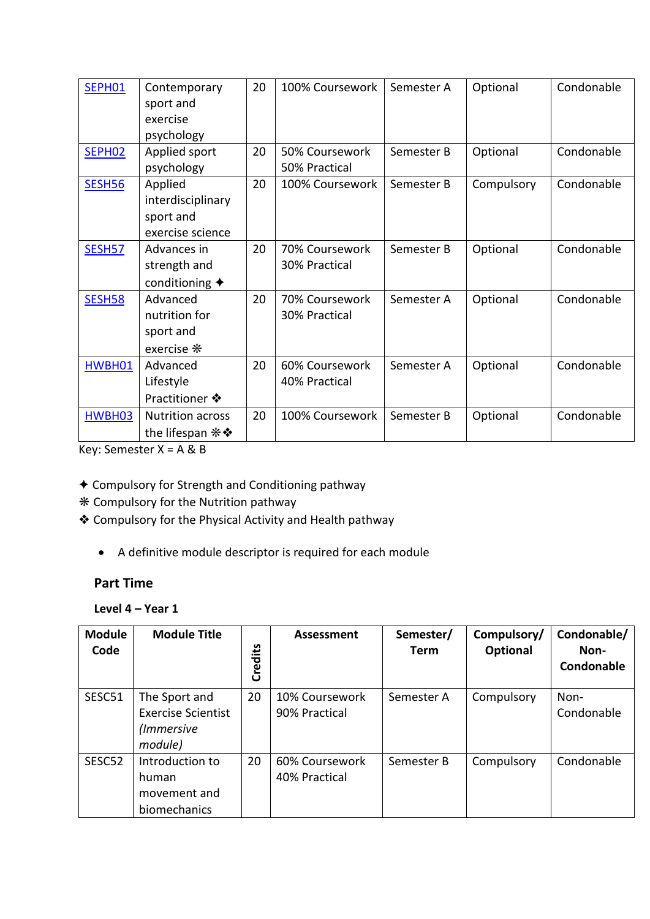| SEPH01             | Contemporary                            | 20 | 100% Coursework | Semester A | Optional   | Condonable |
|--------------------|-----------------------------------------|----|-----------------|------------|------------|------------|
|                    | sport and                               |    |                 |            |            |            |
|                    | exercise                                |    |                 |            |            |            |
|                    | psychology                              |    |                 |            |            |            |
| SEPH <sub>02</sub> | Applied sport                           | 20 | 50% Coursework  | Semester B | Optional   | Condonable |
|                    | psychology                              |    | 50% Practical   |            |            |            |
| <b>SESH56</b>      | Applied                                 | 20 | 100% Coursework | Semester B | Compulsory | Condonable |
|                    | interdisciplinary                       |    |                 |            |            |            |
|                    | sport and                               |    |                 |            |            |            |
|                    | exercise science                        |    |                 |            |            |            |
| <b>SESH57</b>      | Advances in                             | 20 | 70% Coursework  | Semester B | Optional   | Condonable |
|                    | strength and                            |    | 30% Practical   |            |            |            |
|                    | conditioning $\blacklozenge$            |    |                 |            |            |            |
| <b>SESH58</b>      | Advanced                                | 20 | 70% Coursework  | Semester A | Optional   | Condonable |
|                    | nutrition for                           |    | 30% Practical   |            |            |            |
|                    | sport and                               |    |                 |            |            |            |
|                    | exercise *                              |    |                 |            |            |            |
| HWBH01             | Advanced                                | 20 | 60% Coursework  | Semester A | Optional   | Condonable |
|                    | Lifestyle                               |    | 40% Practical   |            |            |            |
|                    | Practitioner ❖                          |    |                 |            |            |            |
| HWBH03             | <b>Nutrition across</b>                 | 20 | 100% Coursework | Semester B | Optional   | Condonable |
|                    | the lifespan $\mathbf{\ast}\mathbf{\&}$ |    |                 |            |            |            |

Key: Semester  $X = A \& B$ 

- ✦ Compulsory for Strength and Conditioning pathway
- ❋ Compulsory for the Nutrition pathway
- ❖ Compulsory for the Physical Activity and Health pathway
	- A definitive module descriptor is required for each module

#### **Part Time**

**Level 4 – Year 1**

| <b>Module</b><br>Code | <b>Module Title</b>                                                 | Credits | <b>Assessment</b>               | Semester/<br>Term | Compulsory/<br>Optional | Condonable/<br>Non-<br>Condonable |
|-----------------------|---------------------------------------------------------------------|---------|---------------------------------|-------------------|-------------------------|-----------------------------------|
| SESC51                | The Sport and<br><b>Exercise Scientist</b><br>(Immersive<br>module) | 20      | 10% Coursework<br>90% Practical | Semester A        | Compulsory              | Non-<br>Condonable                |
| SESC52                | Introduction to<br>human<br>movement and<br>biomechanics            | 20      | 60% Coursework<br>40% Practical | Semester B        | Compulsory              | Condonable                        |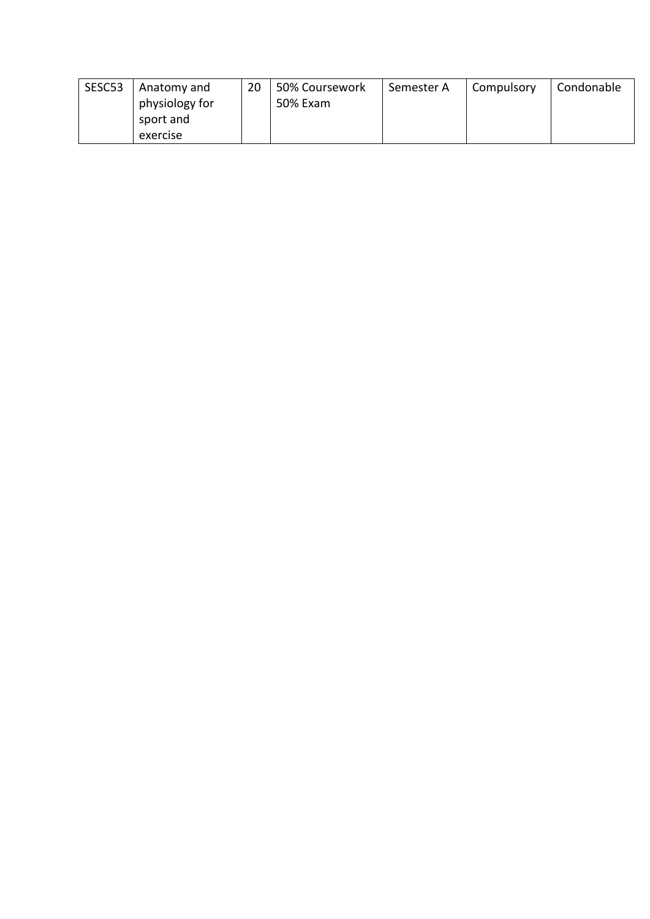| SESC53 | Anatomy and    | 20 | 50% Coursework | Semester A | Compulsory | Condonable |
|--------|----------------|----|----------------|------------|------------|------------|
|        | physiology for |    | 50% Exam       |            |            |            |
|        | sport and      |    |                |            |            |            |
|        | exercise       |    |                |            |            |            |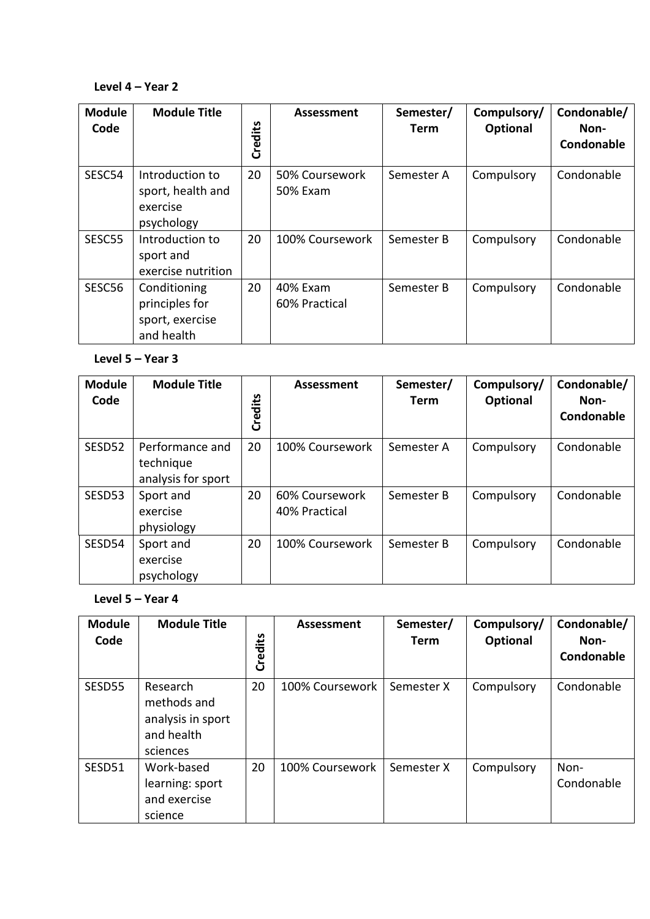#### **Level 4 – Year 2**

| <b>Module</b><br>Code | <b>Module Title</b>                                             | Credits | <b>Assessment</b>          | Semester/<br><b>Term</b> | Compulsory/<br>Optional | Condonable/<br>Non-<br>Condonable |
|-----------------------|-----------------------------------------------------------------|---------|----------------------------|--------------------------|-------------------------|-----------------------------------|
| SESC54                | Introduction to<br>sport, health and<br>exercise<br>psychology  | 20      | 50% Coursework<br>50% Exam | Semester A               | Compulsory              | Condonable                        |
| SESC55                | Introduction to<br>sport and<br>exercise nutrition              | 20      | 100% Coursework            | Semester B               | Compulsory              | Condonable                        |
| SESC56                | Conditioning<br>principles for<br>sport, exercise<br>and health | 20      | 40% Exam<br>60% Practical  | Semester B               | Compulsory              | Condonable                        |

#### **Level 5 – Year 3**

| <b>Module</b><br>Code | <b>Module Title</b>                                | Credits | Assessment                      | Semester/<br>Term | Compulsory/<br><b>Optional</b> | Condonable/<br>Non-<br>Condonable |
|-----------------------|----------------------------------------------------|---------|---------------------------------|-------------------|--------------------------------|-----------------------------------|
| SESD <sub>52</sub>    | Performance and<br>technique<br>analysis for sport | 20      | 100% Coursework                 | Semester A        | Compulsory                     | Condonable                        |
| SESD53                | Sport and<br>exercise<br>physiology                | 20      | 60% Coursework<br>40% Practical | Semester B        | Compulsory                     | Condonable                        |
| SESD54                | Sport and<br>exercise<br>psychology                | 20      | 100% Coursework                 | Semester B        | Compulsory                     | Condonable                        |

#### **Level 5 – Year 4**

| <b>Module</b><br>Code | <b>Module Title</b>                                                    | Credits | Assessment      | Semester/<br><b>Term</b> | Compulsory/<br>Optional | Condonable/<br>Non-<br>Condonable |
|-----------------------|------------------------------------------------------------------------|---------|-----------------|--------------------------|-------------------------|-----------------------------------|
| SESD55                | Research<br>methods and<br>analysis in sport<br>and health<br>sciences | 20      | 100% Coursework | Semester X               | Compulsory              | Condonable                        |
| SESD51                | Work-based<br>learning: sport<br>and exercise<br>science               | 20      | 100% Coursework | Semester X               | Compulsory              | Non-<br>Condonable                |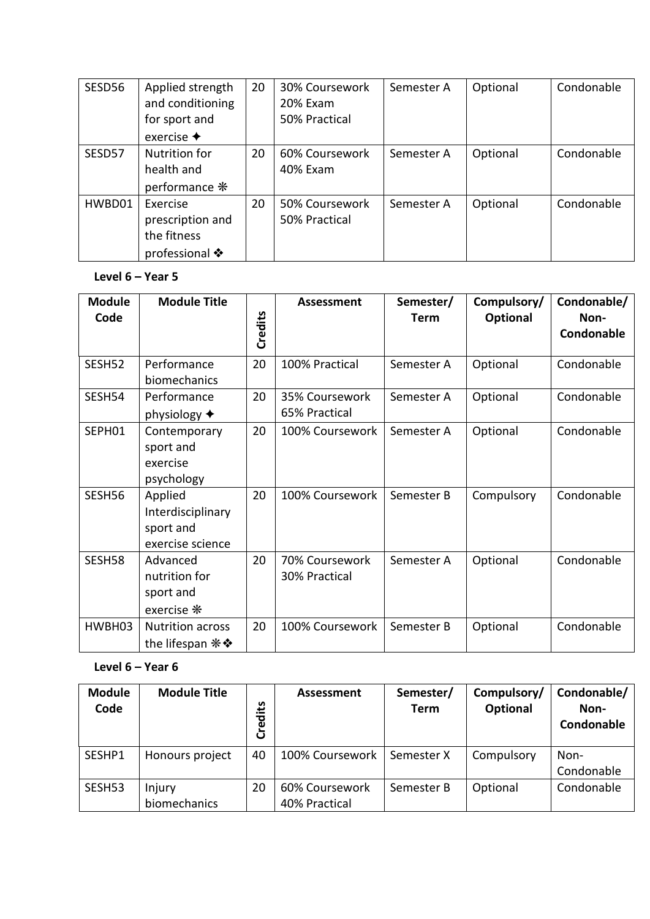| SESD56 | Applied strength<br>and conditioning<br>for sport and | 20 | 30% Coursework<br>20% Exam<br>50% Practical | Semester A | Optional | Condonable |
|--------|-------------------------------------------------------|----|---------------------------------------------|------------|----------|------------|
|        | exercise $\triangleleft$                              |    |                                             |            |          |            |
| SESD57 | <b>Nutrition for</b>                                  | 20 | 60% Coursework                              | Semester A | Optional | Condonable |
|        | health and                                            |    | 40% Exam                                    |            |          |            |
|        | performance *                                         |    |                                             |            |          |            |
| HWBD01 | Exercise                                              | 20 | 50% Coursework                              | Semester A | Optional | Condonable |
|        | prescription and                                      |    | 50% Practical                               |            |          |            |
|        | the fitness                                           |    |                                             |            |          |            |
|        | professional ❖                                        |    |                                             |            |          |            |

## **Level 6 – Year 5**

| <b>Module</b><br>Code | <b>Module Title</b>                                           | Credits | <b>Assessment</b>               | Semester/<br><b>Term</b> | Compulsory/<br><b>Optional</b> | Condonable/<br>Non-<br>Condonable |
|-----------------------|---------------------------------------------------------------|---------|---------------------------------|--------------------------|--------------------------------|-----------------------------------|
| SESH52                | Performance<br>biomechanics                                   | 20      | 100% Practical                  | Semester A               | Optional                       | Condonable                        |
| SESH54                | Performance<br>physiology $\blacklozenge$                     | 20      | 35% Coursework<br>65% Practical | Semester A               | Optional                       | Condonable                        |
| SEPH01                | Contemporary<br>sport and<br>exercise<br>psychology           | 20      | 100% Coursework                 | Semester A               | Optional                       | Condonable                        |
| SESH56                | Applied<br>Interdisciplinary<br>sport and<br>exercise science | 20      | 100% Coursework                 | Semester B               | Compulsory                     | Condonable                        |
| SESH58                | Advanced<br>nutrition for<br>sport and<br>exercise *          | 20      | 70% Coursework<br>30% Practical | Semester A               | Optional                       | Condonable                        |
| HWBH03                | <b>Nutrition across</b><br>the lifespan * *                   | 20      | 100% Coursework                 | Semester B               | Optional                       | Condonable                        |

#### **Level 6 – Year 6**

| <b>Module</b><br>Code | <b>Module Title</b> | Credits | Assessment      | Semester/<br>Term | Compulsory/<br>Optional | Condonable/<br>Non-<br>Condonable |
|-----------------------|---------------------|---------|-----------------|-------------------|-------------------------|-----------------------------------|
| SESHP1                | Honours project     | 40      | 100% Coursework | Semester X        | Compulsory              | Non-                              |
|                       |                     |         |                 |                   |                         | Condonable                        |
| SESH53                | Injury              | 20      | 60% Coursework  | Semester B        | Optional                | Condonable                        |
|                       | biomechanics        |         | 40% Practical   |                   |                         |                                   |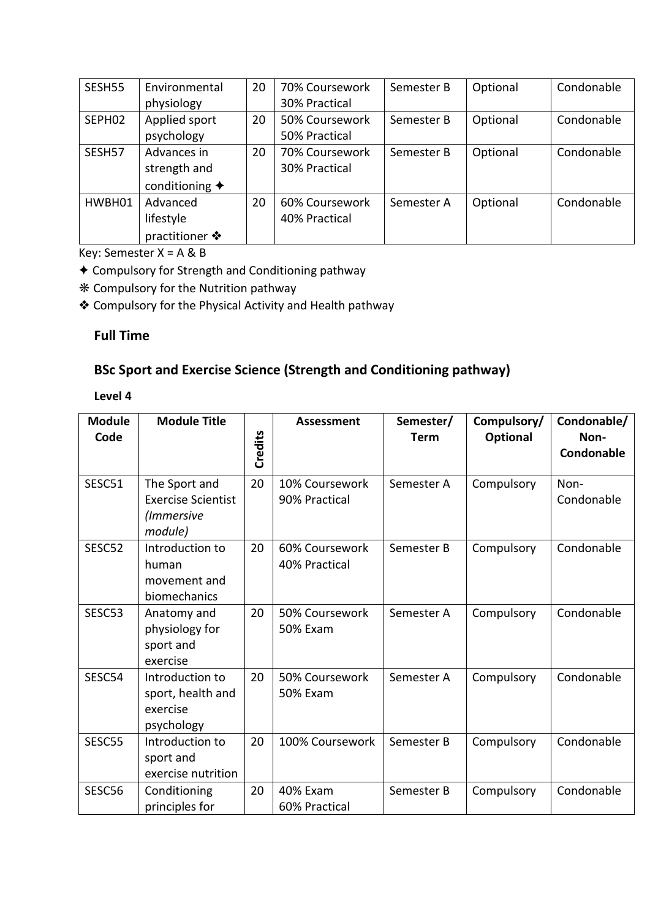| SESH55 | Environmental            | 20 | 70% Coursework | Semester B | Optional | Condonable |
|--------|--------------------------|----|----------------|------------|----------|------------|
|        | physiology               |    | 30% Practical  |            |          |            |
| SEPH02 | Applied sport            | 20 | 50% Coursework | Semester B | Optional | Condonable |
|        | psychology               |    | 50% Practical  |            |          |            |
| SESH57 | Advances in              | 20 | 70% Coursework | Semester B | Optional | Condonable |
|        | strength and             |    | 30% Practical  |            |          |            |
|        | conditioning $\triangle$ |    |                |            |          |            |
| HWBH01 | Advanced                 | 20 | 60% Coursework | Semester A | Optional | Condonable |
|        | lifestyle                |    | 40% Practical  |            |          |            |
|        | practitioner ❖           |    |                |            |          |            |

Key: Semester X = A & B

✦ Compulsory for Strength and Conditioning pathway

❋ Compulsory for the Nutrition pathway

❖ Compulsory for the Physical Activity and Health pathway

### **Full Time**

# **BSc Sport and Exercise Science (Strength and Conditioning pathway)**

| <b>Module</b><br>Code | <b>Module Title</b>                                                 | Credits | <b>Assessment</b>                 | Semester/<br><b>Term</b> | Compulsory/<br><b>Optional</b> | Condonable/<br>Non-<br>Condonable |
|-----------------------|---------------------------------------------------------------------|---------|-----------------------------------|--------------------------|--------------------------------|-----------------------------------|
| SESC51                | The Sport and<br><b>Exercise Scientist</b><br>(Immersive<br>module) | 20      | 10% Coursework<br>90% Practical   | Semester A               | Compulsory                     | Non-<br>Condonable                |
| SESC52                | Introduction to<br>human<br>movement and<br>biomechanics            | 20      | 60% Coursework<br>40% Practical   | Semester B               | Compulsory                     | Condonable                        |
| SESC53                | Anatomy and<br>physiology for<br>sport and<br>exercise              | 20      | 50% Coursework<br><b>50% Exam</b> | Semester A               | Compulsory                     | Condonable                        |
| SESC54                | Introduction to<br>sport, health and<br>exercise<br>psychology      | 20      | 50% Coursework<br><b>50% Exam</b> | Semester A               | Compulsory                     | Condonable                        |
| SESC55                | Introduction to<br>sport and<br>exercise nutrition                  | 20      | 100% Coursework                   | Semester B               | Compulsory                     | Condonable                        |
| SESC56                | Conditioning<br>principles for                                      | 20      | 40% Exam<br>60% Practical         | Semester B               | Compulsory                     | Condonable                        |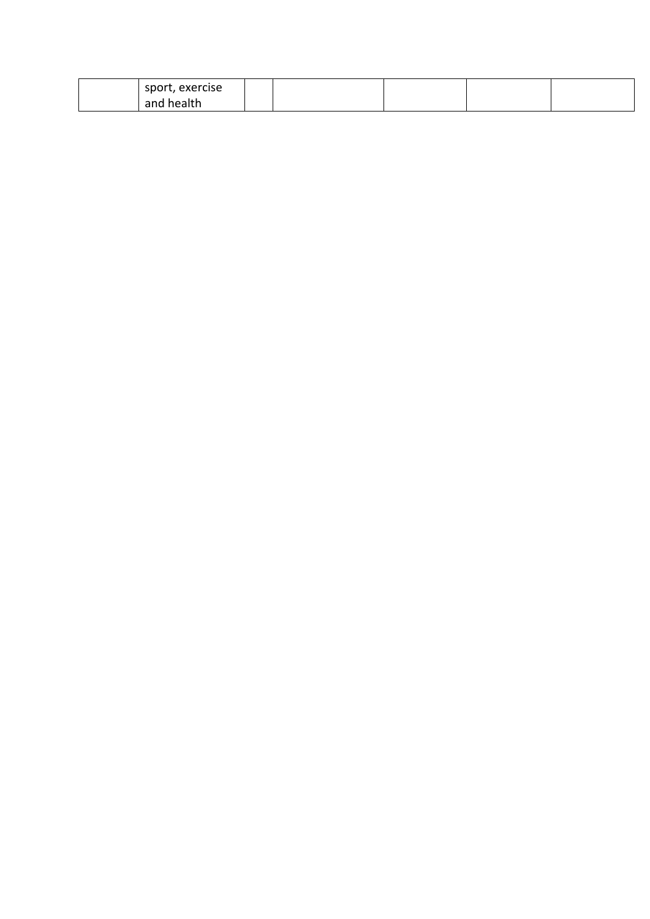| sport, exercise |  |  |  |
|-----------------|--|--|--|
| and health      |  |  |  |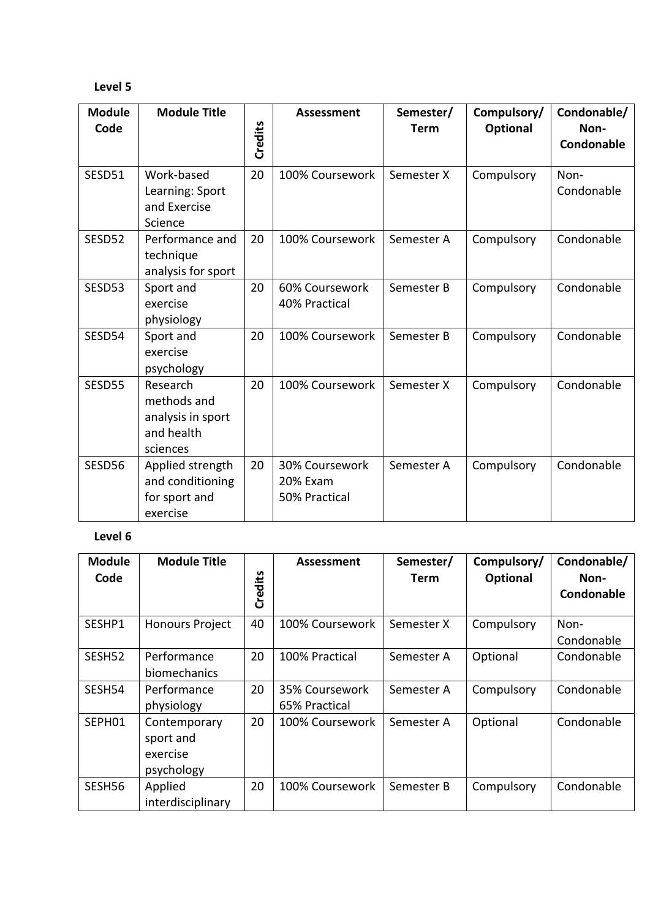### **Level 5**

| <b>Module</b><br>Code | <b>Module Title</b>                                                    | Credits | <b>Assessment</b>                           | Semester/<br><b>Term</b> | Compulsory/<br>Optional | Condonable/<br>Non-<br>Condonable |
|-----------------------|------------------------------------------------------------------------|---------|---------------------------------------------|--------------------------|-------------------------|-----------------------------------|
| SESD51                | Work-based<br>Learning: Sport<br>and Exercise<br>Science               | 20      | 100% Coursework                             | Semester X               | Compulsory              | Non-<br>Condonable                |
| SESD52                | Performance and<br>technique<br>analysis for sport                     | 20      | 100% Coursework                             | Semester A               | Compulsory              | Condonable                        |
| SESD53                | Sport and<br>exercise<br>physiology                                    | 20      | 60% Coursework<br>40% Practical             | Semester B               | Compulsory              | Condonable                        |
| SESD54                | Sport and<br>exercise<br>psychology                                    | 20      | 100% Coursework                             | Semester B               | Compulsory              | Condonable                        |
| SESD55                | Research<br>methods and<br>analysis in sport<br>and health<br>sciences | 20      | 100% Coursework                             | Semester X               | Compulsory              | Condonable                        |
| SESD56                | Applied strength<br>and conditioning<br>for sport and<br>exercise      | 20      | 30% Coursework<br>20% Exam<br>50% Practical | Semester A               | Compulsory              | Condonable                        |

| <b>Module</b><br>Code | <b>Module Title</b>                                 |         | Assessment                      | Semester/<br>Term | Compulsory/     | Condonable/<br>Non- |
|-----------------------|-----------------------------------------------------|---------|---------------------------------|-------------------|-----------------|---------------------|
|                       |                                                     | Credits |                                 |                   | <b>Optional</b> | Condonable          |
| SESHP1                | <b>Honours Project</b>                              | 40      | 100% Coursework                 | Semester X        | Compulsory      | Non-<br>Condonable  |
| SESH <sub>52</sub>    | Performance<br>biomechanics                         | 20      | 100% Practical                  | Semester A        | Optional        | Condonable          |
| SESH54                | Performance<br>physiology                           | 20      | 35% Coursework<br>65% Practical | Semester A        | Compulsory      | Condonable          |
| SEPH01                | Contemporary<br>sport and<br>exercise<br>psychology | 20      | 100% Coursework                 | Semester A        | Optional        | Condonable          |
| SESH56                | Applied<br>interdisciplinary                        | 20      | 100% Coursework                 | Semester B        | Compulsory      | Condonable          |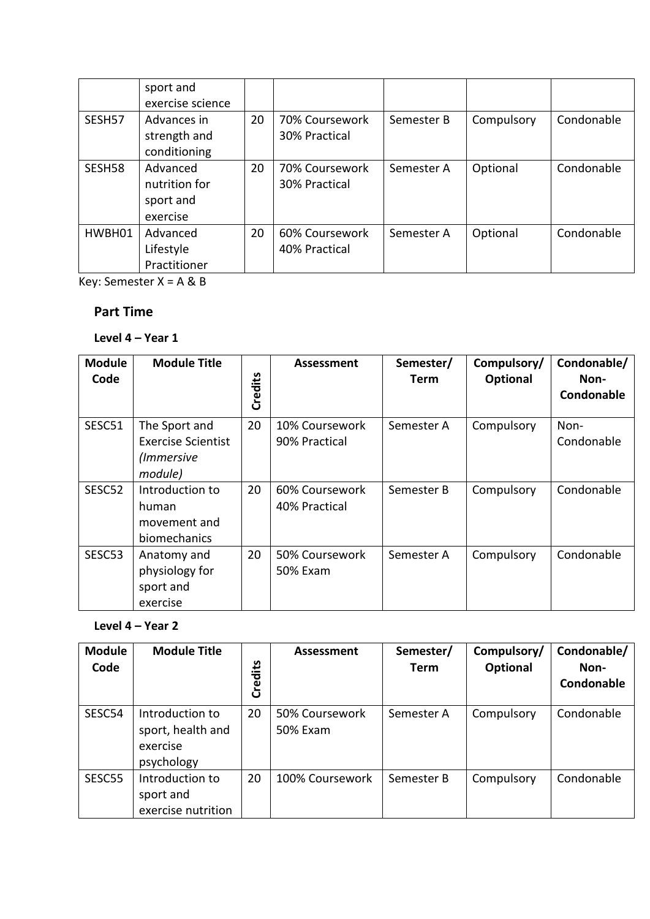|        | sport and<br>exercise science                      |    |                                 |            |            |            |
|--------|----------------------------------------------------|----|---------------------------------|------------|------------|------------|
| SESH57 | Advances in<br>strength and<br>conditioning        | 20 | 70% Coursework<br>30% Practical | Semester B | Compulsory | Condonable |
| SESH58 | Advanced<br>nutrition for<br>sport and<br>exercise | 20 | 70% Coursework<br>30% Practical | Semester A | Optional   | Condonable |
| HWBH01 | Advanced<br>Lifestyle<br>Practitioner              | 20 | 60% Coursework<br>40% Practical | Semester A | Optional   | Condonable |

Key: Semester  $X = A & B$ 

## **Part Time**

## **Level 4 – Year 1**

| <b>Module</b><br>Code | <b>Module Title</b>                                                 | Credits | <b>Assessment</b>               | Semester/<br><b>Term</b> | Compulsory/<br><b>Optional</b> | Condonable/<br>Non-<br>Condonable |
|-----------------------|---------------------------------------------------------------------|---------|---------------------------------|--------------------------|--------------------------------|-----------------------------------|
| SESC51                | The Sport and<br><b>Exercise Scientist</b><br>(Immersive<br>module) | 20      | 10% Coursework<br>90% Practical | Semester A               | Compulsory                     | Non-<br>Condonable                |
| SESC52                | Introduction to<br>human<br>movement and<br>biomechanics            | 20      | 60% Coursework<br>40% Practical | Semester B               | Compulsory                     | Condonable                        |
| SESC53                | Anatomy and<br>physiology for<br>sport and<br>exercise              | 20      | 50% Coursework<br>50% Exam      | Semester A               | Compulsory                     | Condonable                        |

# **Level 4 – Year 2**

| <b>Module</b><br>Code | <b>Module Title</b>                                            | Credits | Assessment                 | Semester/<br><b>Term</b> | Compulsory/<br><b>Optional</b> | Condonable/<br>Non-<br>Condonable |
|-----------------------|----------------------------------------------------------------|---------|----------------------------|--------------------------|--------------------------------|-----------------------------------|
| SESC54                | Introduction to<br>sport, health and<br>exercise<br>psychology | 20      | 50% Coursework<br>50% Exam | Semester A               | Compulsory                     | Condonable                        |
| SESC55                | Introduction to<br>sport and<br>exercise nutrition             | 20      | 100% Coursework            | Semester B               | Compulsory                     | Condonable                        |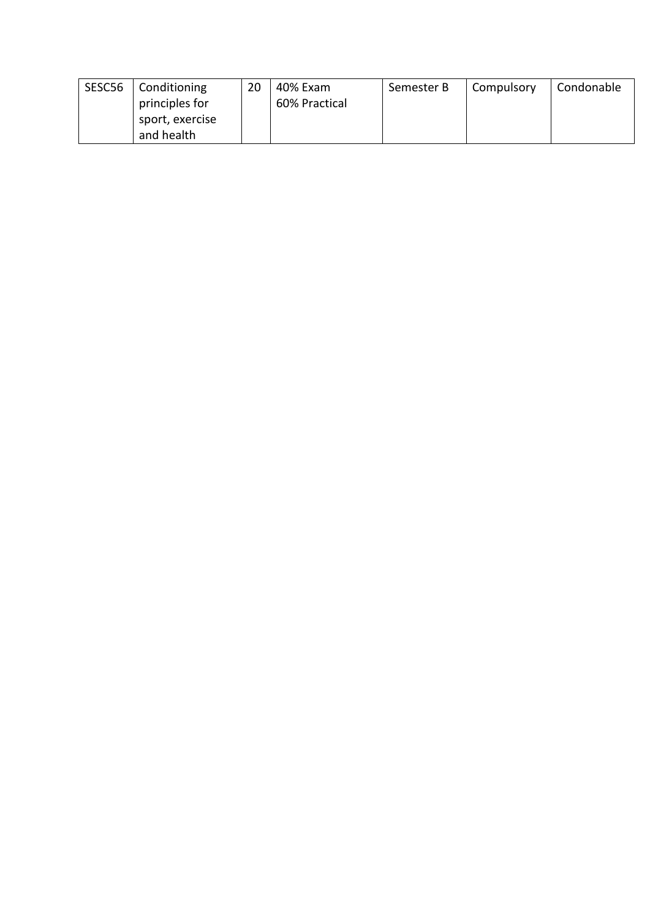| SESC56 | Conditioning    | 20 | 40% Exam      | Semester B | Compulsory | Condonable |
|--------|-----------------|----|---------------|------------|------------|------------|
|        | principles for  |    | 60% Practical |            |            |            |
|        | sport, exercise |    |               |            |            |            |
|        | and health      |    |               |            |            |            |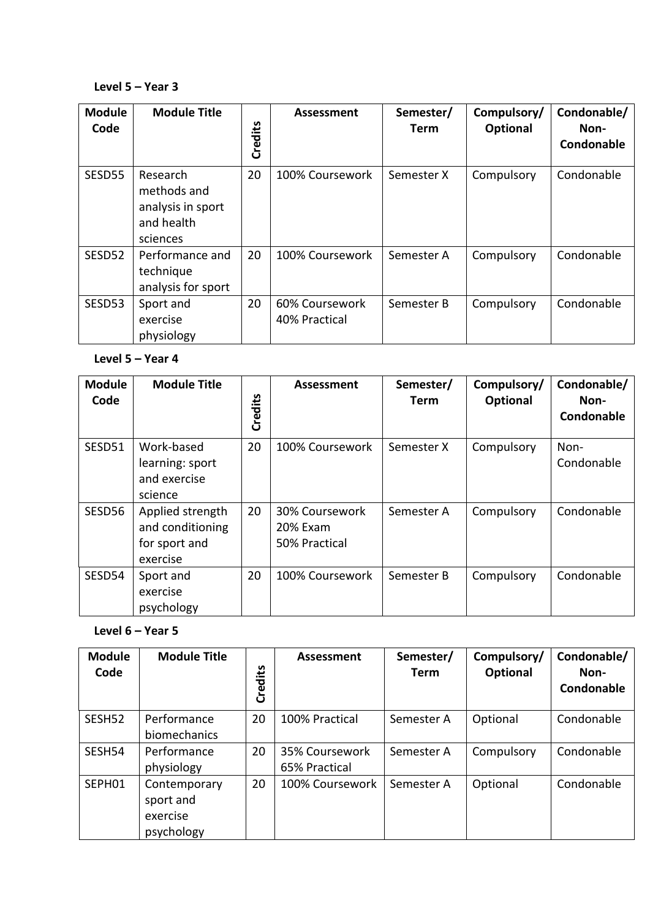#### **Level 5 – Year 3**

| <b>Module</b><br>Code | <b>Module Title</b>                                                    | Credits | <b>Assessment</b>               | Semester/<br>Term | Compulsory/<br>Optional | Condonable/<br>Non-<br>Condonable |
|-----------------------|------------------------------------------------------------------------|---------|---------------------------------|-------------------|-------------------------|-----------------------------------|
| SESD55                | Research<br>methods and<br>analysis in sport<br>and health<br>sciences | 20      | 100% Coursework                 | Semester X        | Compulsory              | Condonable                        |
| SESD52                | Performance and<br>technique<br>analysis for sport                     | 20      | 100% Coursework                 | Semester A        | Compulsory              | Condonable                        |
| SESD53                | Sport and<br>exercise<br>physiology                                    | 20      | 60% Coursework<br>40% Practical | Semester B        | Compulsory              | Condonable                        |

#### **Level 5 – Year 4**

| <b>Module</b><br>Code | <b>Module Title</b>                                               | Credits | <b>Assessment</b>                           | Semester/<br>Term | Compulsory/<br>Optional | Condonable/<br>Non-<br>Condonable |
|-----------------------|-------------------------------------------------------------------|---------|---------------------------------------------|-------------------|-------------------------|-----------------------------------|
| SESD51                | Work-based<br>learning: sport<br>and exercise<br>science          | 20      | 100% Coursework                             | Semester X        | Compulsory              | Non-<br>Condonable                |
| SESD56                | Applied strength<br>and conditioning<br>for sport and<br>exercise | 20      | 30% Coursework<br>20% Exam<br>50% Practical | Semester A        | Compulsory              | Condonable                        |
| SESD54                | Sport and<br>exercise<br>psychology                               | 20      | 100% Coursework                             | Semester B        | Compulsory              | Condonable                        |

## **Level 6 – Year 5**

| <b>Module</b><br>Code | <b>Module Title</b>                                 | <b>Credits</b> | Assessment                      | Semester/<br><b>Term</b> | Compulsory/<br>Optional | Condonable/<br>Non-<br>Condonable |
|-----------------------|-----------------------------------------------------|----------------|---------------------------------|--------------------------|-------------------------|-----------------------------------|
| SESH <sub>52</sub>    | Performance<br>biomechanics                         | 20             | 100% Practical                  | Semester A               | Optional                | Condonable                        |
| SESH54                | Performance<br>physiology                           | 20             | 35% Coursework<br>65% Practical | Semester A               | Compulsory              | Condonable                        |
| SEPH01                | Contemporary<br>sport and<br>exercise<br>psychology | 20             | 100% Coursework                 | Semester A               | Optional                | Condonable                        |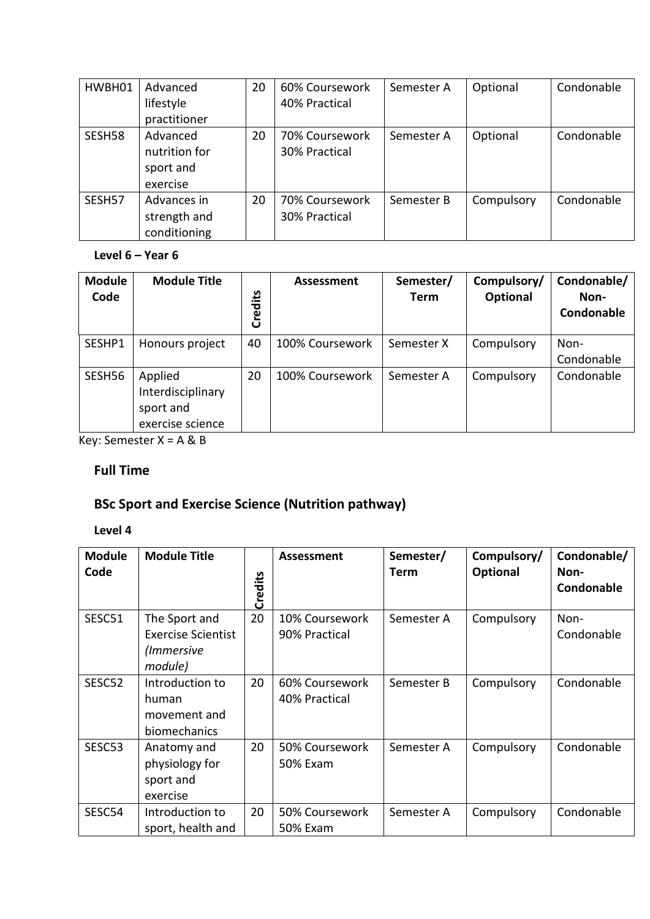| HWBH01 | Advanced<br>lifestyle<br>practitioner              | 20 | 60% Coursework<br>40% Practical | Semester A | Optional   | Condonable |
|--------|----------------------------------------------------|----|---------------------------------|------------|------------|------------|
| SESH58 | Advanced<br>nutrition for<br>sport and<br>exercise | 20 | 70% Coursework<br>30% Practical | Semester A | Optional   | Condonable |
| SESH57 | Advances in<br>strength and<br>conditioning        | 20 | 70% Coursework<br>30% Practical | Semester B | Compulsory | Condonable |

#### **Level 6 – Year 6**

| <b>Module</b><br>Code | <b>Module Title</b>                                           | Credits | <b>Assessment</b> | Semester/<br>Term | Compulsory/<br>Optional | Condonable/<br>Non-<br>Condonable |
|-----------------------|---------------------------------------------------------------|---------|-------------------|-------------------|-------------------------|-----------------------------------|
| SESHP1                | Honours project                                               | 40      | 100% Coursework   | Semester X        | Compulsory              | Non-<br>Condonable                |
| SESH56                | Applied<br>Interdisciplinary<br>sport and<br>exercise science | 20      | 100% Coursework   | Semester A        | Compulsory              | Condonable                        |

Key: Semester X = A & B

## **Full Time**

# **BSc Sport and Exercise Science (Nutrition pathway)**

| <b>Module</b><br>Code | <b>Module Title</b>                                                 | Credits | <b>Assessment</b>               | Semester/<br><b>Term</b> | Compulsory/<br><b>Optional</b> | Condonable/<br>Non-<br>Condonable |
|-----------------------|---------------------------------------------------------------------|---------|---------------------------------|--------------------------|--------------------------------|-----------------------------------|
| SESC51                | The Sport and<br><b>Exercise Scientist</b><br>(Immersive<br>module) | 20      | 10% Coursework<br>90% Practical | Semester A               | Compulsory                     | Non-<br>Condonable                |
| SESC52                | Introduction to<br>human<br>movement and<br>biomechanics            | 20      | 60% Coursework<br>40% Practical | Semester B               | Compulsory                     | Condonable                        |
| SESC53                | Anatomy and<br>physiology for<br>sport and<br>exercise              | 20      | 50% Coursework<br>50% Exam      | Semester A               | Compulsory                     | Condonable                        |
| SESC54                | Introduction to<br>sport, health and                                | 20      | 50% Coursework<br>50% Exam      | Semester A               | Compulsory                     | Condonable                        |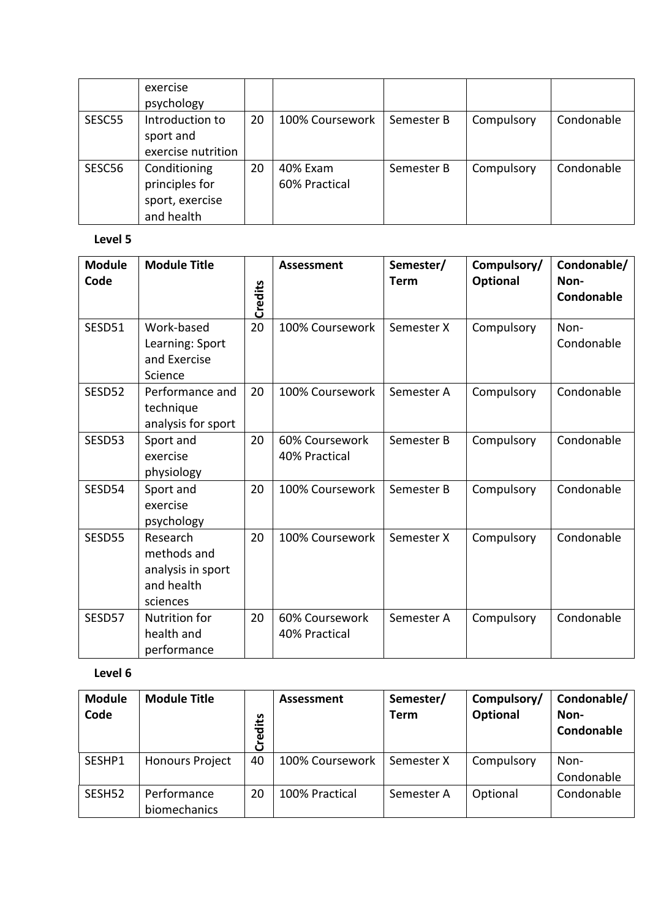|        | exercise<br>psychology |    |                 |            |            |            |
|--------|------------------------|----|-----------------|------------|------------|------------|
|        |                        |    |                 |            |            |            |
| SESC55 | Introduction to        | 20 | 100% Coursework | Semester B | Compulsory | Condonable |
|        | sport and              |    |                 |            |            |            |
|        | exercise nutrition     |    |                 |            |            |            |
| SESC56 | Conditioning           | 20 | 40% Exam        | Semester B | Compulsory | Condonable |
|        | principles for         |    | 60% Practical   |            |            |            |
|        | sport, exercise        |    |                 |            |            |            |
|        | and health             |    |                 |            |            |            |

## **Level 5**

| <b>Module</b><br>Code | <b>Module Title</b>                                                    | Credits | <b>Assessment</b>               | Semester/<br><b>Term</b> | Compulsory/<br><b>Optional</b> | Condonable/<br>Non-<br>Condonable |
|-----------------------|------------------------------------------------------------------------|---------|---------------------------------|--------------------------|--------------------------------|-----------------------------------|
| SESD51                | Work-based<br>Learning: Sport<br>and Exercise<br>Science               | 20      | 100% Coursework                 | Semester X               | Compulsory                     | Non-<br>Condonable                |
| SESD52                | Performance and<br>technique<br>analysis for sport                     | 20      | 100% Coursework                 | Semester A               | Compulsory                     | Condonable                        |
| SESD53                | Sport and<br>exercise<br>physiology                                    | 20      | 60% Coursework<br>40% Practical | Semester B               | Compulsory                     | Condonable                        |
| SESD54                | Sport and<br>exercise<br>psychology                                    | 20      | 100% Coursework                 | Semester B               | Compulsory                     | Condonable                        |
| SESD55                | Research<br>methods and<br>analysis in sport<br>and health<br>sciences | 20      | 100% Coursework                 | Semester X               | Compulsory                     | Condonable                        |
| SESD57                | <b>Nutrition for</b><br>health and<br>performance                      | 20      | 60% Coursework<br>40% Practical | Semester A               | Compulsory                     | Condonable                        |

| <b>Module</b><br>Code | <b>Module Title</b>         | Credits | Assessment      | Semester/<br><b>Term</b> | Compulsory/<br>Optional | Condonable/<br>Non-<br>Condonable |
|-----------------------|-----------------------------|---------|-----------------|--------------------------|-------------------------|-----------------------------------|
| SESHP1                | <b>Honours Project</b>      | 40      | 100% Coursework | Semester X               | Compulsory              | Non-<br>Condonable                |
| SESH52                | Performance<br>biomechanics | 20      | 100% Practical  | Semester A               | Optional                | Condonable                        |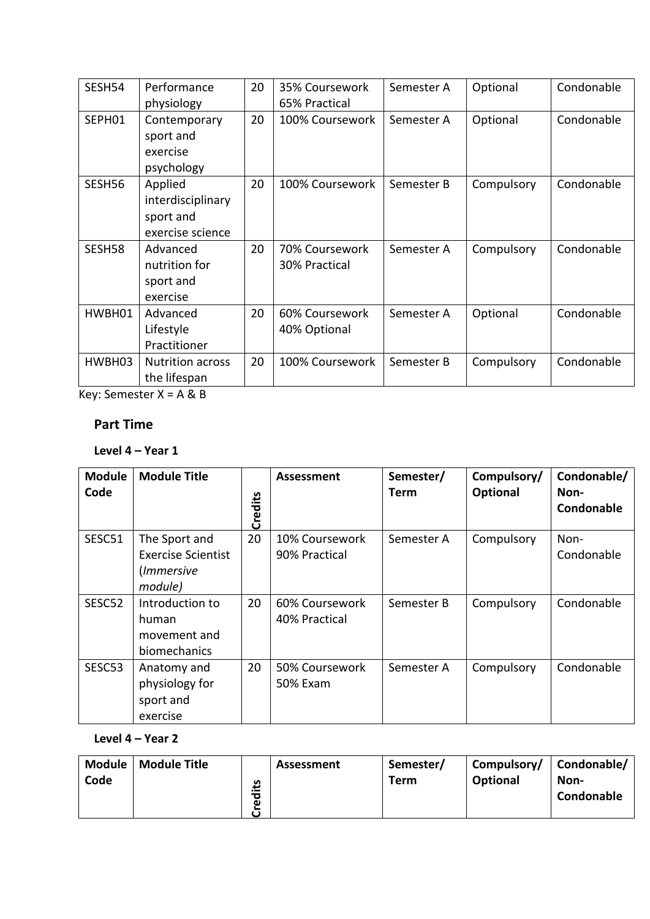| SESH54 | Performance<br>physiology                                     | 20 | 35% Coursework<br>65% Practical | Semester A | Optional   | Condonable |
|--------|---------------------------------------------------------------|----|---------------------------------|------------|------------|------------|
| SEPH01 | Contemporary<br>sport and<br>exercise<br>psychology           | 20 | 100% Coursework                 | Semester A | Optional   | Condonable |
| SESH56 | Applied<br>interdisciplinary<br>sport and<br>exercise science | 20 | 100% Coursework                 | Semester B | Compulsory | Condonable |
| SESH58 | Advanced<br>nutrition for<br>sport and<br>exercise            | 20 | 70% Coursework<br>30% Practical | Semester A | Compulsory | Condonable |
| HWBH01 | Advanced<br>Lifestyle<br>Practitioner                         | 20 | 60% Coursework<br>40% Optional  | Semester A | Optional   | Condonable |
| HWBH03 | <b>Nutrition across</b><br>the lifespan                       | 20 | 100% Coursework                 | Semester B | Compulsory | Condonable |

Key: Semester X = A & B

## **Part Time**

## **Level 4 – Year 1**

| <b>Module</b><br>Code | <b>Module Title</b>                                                 | Credits | Assessment                      | Semester/<br><b>Term</b> | Compulsory/<br>Optional | Condonable/<br>Non-<br>Condonable |
|-----------------------|---------------------------------------------------------------------|---------|---------------------------------|--------------------------|-------------------------|-----------------------------------|
| SESC51                | The Sport and<br><b>Exercise Scientist</b><br>(Immersive<br>module) | 20      | 10% Coursework<br>90% Practical | Semester A               | Compulsory              | Non-<br>Condonable                |
| SESC52                | Introduction to<br>human<br>movement and<br>biomechanics            | 20      | 60% Coursework<br>40% Practical | Semester B               | Compulsory              | Condonable                        |
| SESC53                | Anatomy and<br>physiology for<br>sport and<br>exercise              | 20      | 50% Coursework<br>50% Exam      | Semester A               | Compulsory              | Condonable                        |

## **Level 4 – Year 2**

| <b>Module</b> | <b>Module Title</b> |                 | Assessment | Semester/ | Compulsory/ | Condonable/ |
|---------------|---------------------|-----------------|------------|-----------|-------------|-------------|
| Code          |                     | مَ <del>:</del> |            | Term      | Optional    | Non-        |
|               |                     | ъ               |            |           |             | Condonable  |
|               |                     | Φ               |            |           |             |             |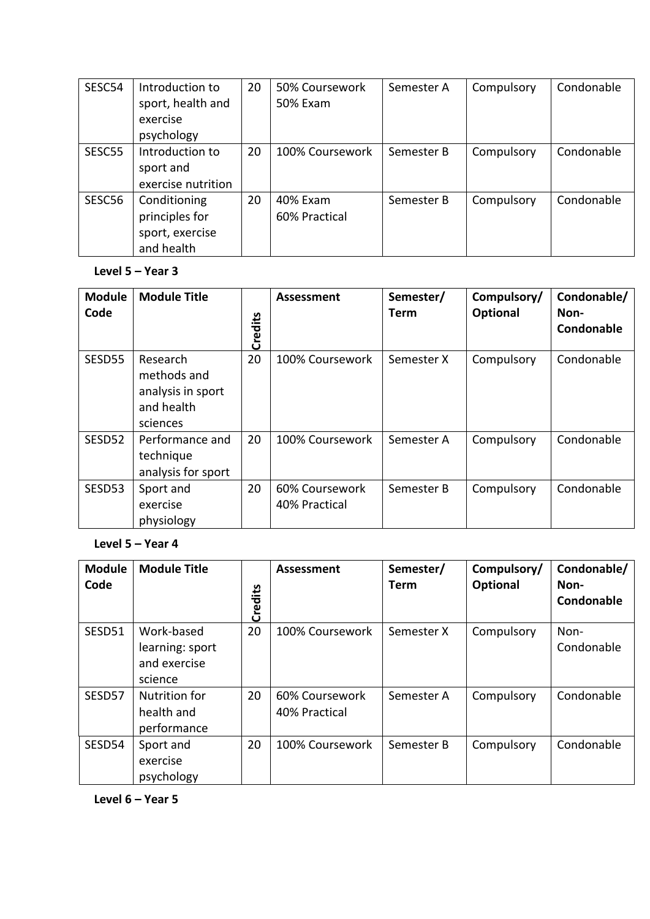| SESC54 | Introduction to    | 20 | 50% Coursework  | Semester A | Compulsory | Condonable |
|--------|--------------------|----|-----------------|------------|------------|------------|
|        | sport, health and  |    | 50% Exam        |            |            |            |
|        | exercise           |    |                 |            |            |            |
|        | psychology         |    |                 |            |            |            |
| SESC55 | Introduction to    | 20 | 100% Coursework | Semester B | Compulsory | Condonable |
|        | sport and          |    |                 |            |            |            |
|        | exercise nutrition |    |                 |            |            |            |
| SESC56 | Conditioning       | 20 | 40% Exam        | Semester B | Compulsory | Condonable |
|        | principles for     |    | 60% Practical   |            |            |            |
|        | sport, exercise    |    |                 |            |            |            |
|        | and health         |    |                 |            |            |            |

#### **Level 5 – Year 3**

| <b>Module</b><br>Code | <b>Module Title</b>                                                    | Credits | Assessment                      | Semester/<br><b>Term</b> | Compulsory/<br>Optional | Condonable/<br>Non-<br>Condonable |
|-----------------------|------------------------------------------------------------------------|---------|---------------------------------|--------------------------|-------------------------|-----------------------------------|
| SESD55                | Research<br>methods and<br>analysis in sport<br>and health<br>sciences | 20      | 100% Coursework                 | Semester X               | Compulsory              | Condonable                        |
| SESD52                | Performance and<br>technique<br>analysis for sport                     | 20      | 100% Coursework                 | Semester A               | Compulsory              | Condonable                        |
| SESD53                | Sport and<br>exercise<br>physiology                                    | 20      | 60% Coursework<br>40% Practical | Semester B               | Compulsory              | Condonable                        |

#### **Level 5 – Year 4**

| <b>Module</b><br>Code | <b>Module Title</b>                                      | Credits | Assessment                      | Semester/<br>Term | Compulsory/<br>Optional | Condonable/<br>Non-<br>Condonable |
|-----------------------|----------------------------------------------------------|---------|---------------------------------|-------------------|-------------------------|-----------------------------------|
| SESD51                | Work-based<br>learning: sport<br>and exercise<br>science | 20      | 100% Coursework                 | Semester X        | Compulsory              | Non-<br>Condonable                |
| SESD57                | <b>Nutrition for</b><br>health and<br>performance        | 20      | 60% Coursework<br>40% Practical | Semester A        | Compulsory              | Condonable                        |
| SESD54                | Sport and<br>exercise<br>psychology                      | 20      | 100% Coursework                 | Semester B        | Compulsory              | Condonable                        |

**Level 6 – Year 5**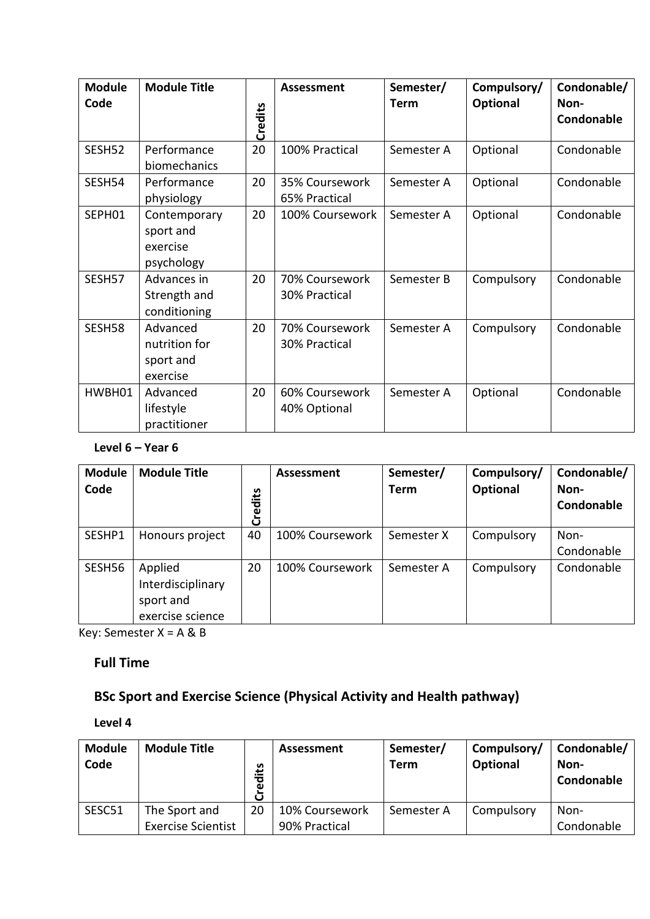| <b>Module</b> | <b>Module Title</b>                                 |         | Assessment                      | Semester/   | Compulsory/ | Condonable/        |
|---------------|-----------------------------------------------------|---------|---------------------------------|-------------|-------------|--------------------|
| Code          |                                                     | Credits |                                 | <b>Term</b> | Optional    | Non-<br>Condonable |
| SESH52        | Performance<br>biomechanics                         | 20      | 100% Practical                  | Semester A  | Optional    | Condonable         |
| SESH54        | Performance<br>physiology                           | 20      | 35% Coursework<br>65% Practical | Semester A  | Optional    | Condonable         |
| SEPH01        | Contemporary<br>sport and<br>exercise<br>psychology | 20      | 100% Coursework                 | Semester A  | Optional    | Condonable         |
| SESH57        | Advances in<br>Strength and<br>conditioning         | 20      | 70% Coursework<br>30% Practical | Semester B  | Compulsory  | Condonable         |
| SESH58        | Advanced<br>nutrition for<br>sport and<br>exercise  | 20      | 70% Coursework<br>30% Practical | Semester A  | Compulsory  | Condonable         |
| HWBH01        | Advanced<br>lifestyle<br>practitioner               | 20      | 60% Coursework<br>40% Optional  | Semester A  | Optional    | Condonable         |

#### **Level 6 – Year 6**

| <b>Module</b><br>Code | <b>Module Title</b>                                           | مَّا:<br>Credi | <b>Assessment</b> | Semester/<br><b>Term</b> | Compulsory/<br>Optional | Condonable/<br>Non-<br>Condonable |
|-----------------------|---------------------------------------------------------------|----------------|-------------------|--------------------------|-------------------------|-----------------------------------|
| SESHP1                | Honours project                                               | 40             | 100% Coursework   | Semester X               | Compulsory              | Non-<br>Condonable                |
| SESH56                | Applied<br>Interdisciplinary<br>sport and<br>exercise science | 20             | 100% Coursework   | Semester A               | Compulsory              | Condonable                        |

Key: Semester X = A & B

# **Full Time**

# **BSc Sport and Exercise Science (Physical Activity and Health pathway)**

| <b>Module</b><br>Code | <b>Module Title</b>       | Credits | Assessment     | Semester/<br><b>Term</b> | Compulsory/<br>Optional | Condonable/<br>Non-<br>Condonable |
|-----------------------|---------------------------|---------|----------------|--------------------------|-------------------------|-----------------------------------|
| SESC51                | The Sport and             | 20      | 10% Coursework | Semester A               | Compulsory              | Non-                              |
|                       | <b>Exercise Scientist</b> |         | 90% Practical  |                          |                         | Condonable                        |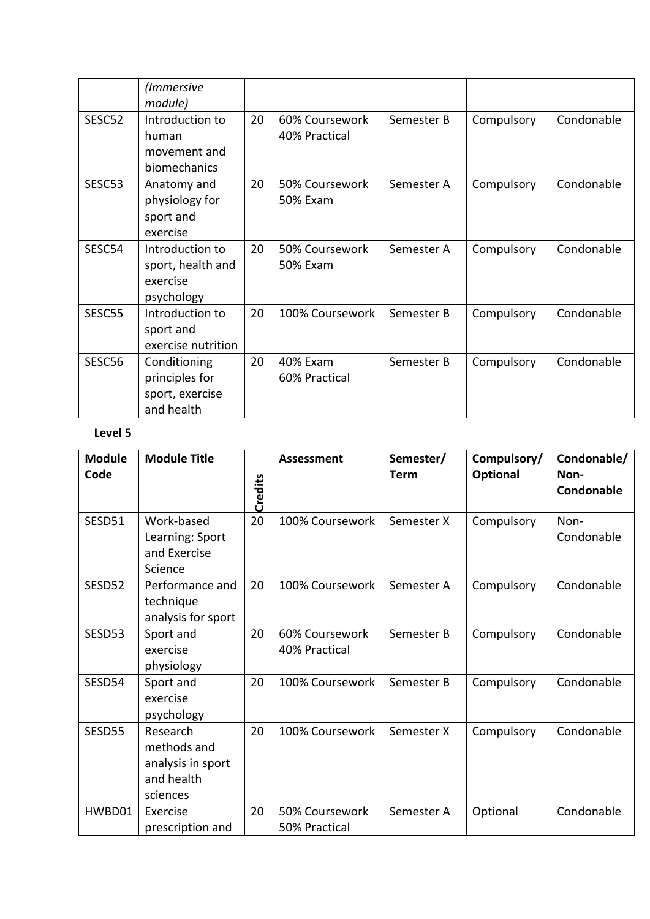|        | (Immersive<br>module)                                           |    |                                 |            |            |            |
|--------|-----------------------------------------------------------------|----|---------------------------------|------------|------------|------------|
| SESC52 | Introduction to<br>human<br>movement and<br>biomechanics        | 20 | 60% Coursework<br>40% Practical | Semester B | Compulsory | Condonable |
| SESC53 | Anatomy and<br>physiology for<br>sport and<br>exercise          | 20 | 50% Coursework<br>50% Exam      | Semester A | Compulsory | Condonable |
| SESC54 | Introduction to<br>sport, health and<br>exercise<br>psychology  | 20 | 50% Coursework<br>50% Exam      | Semester A | Compulsory | Condonable |
| SESC55 | Introduction to<br>sport and<br>exercise nutrition              | 20 | 100% Coursework                 | Semester B | Compulsory | Condonable |
| SESC56 | Conditioning<br>principles for<br>sport, exercise<br>and health | 20 | 40% Exam<br>60% Practical       | Semester B | Compulsory | Condonable |

| <b>Module</b><br>Code | <b>Module Title</b>                                                    | Credits | <b>Assessment</b>               | Semester/<br><b>Term</b> | Compulsory/<br>Optional | Condonable/<br>Non-<br>Condonable |
|-----------------------|------------------------------------------------------------------------|---------|---------------------------------|--------------------------|-------------------------|-----------------------------------|
| SESD51                | Work-based<br>Learning: Sport<br>and Exercise<br>Science               | 20      | 100% Coursework                 | Semester X               | Compulsory              | Non-<br>Condonable                |
| SESD52                | Performance and<br>technique<br>analysis for sport                     | 20      | 100% Coursework                 | Semester A               | Compulsory              | Condonable                        |
| SESD53                | Sport and<br>exercise<br>physiology                                    | 20      | 60% Coursework<br>40% Practical | Semester B               | Compulsory              | Condonable                        |
| SESD54                | Sport and<br>exercise<br>psychology                                    | 20      | 100% Coursework                 | Semester B               | Compulsory              | Condonable                        |
| SESD55                | Research<br>methods and<br>analysis in sport<br>and health<br>sciences | 20      | 100% Coursework                 | Semester X               | Compulsory              | Condonable                        |
| HWBD01                | Exercise<br>prescription and                                           | 20      | 50% Coursework<br>50% Practical | Semester A               | Optional                | Condonable                        |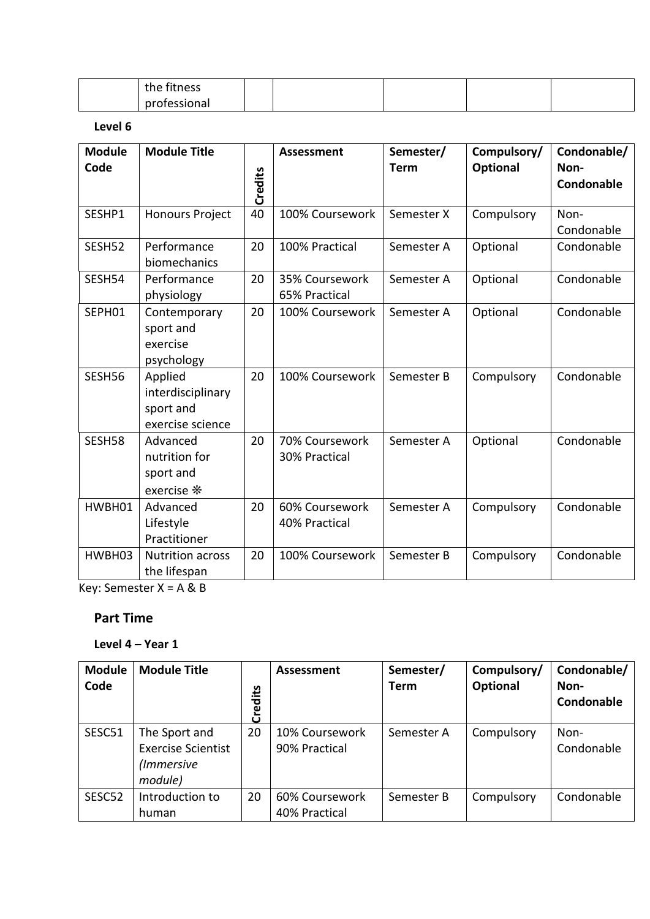| the fitness  |  |  |  |
|--------------|--|--|--|
| professional |  |  |  |

#### **Level 6**

| <b>Module</b><br>Code | <b>Module Title</b>                                           | Credits | <b>Assessment</b>               | Semester/<br><b>Term</b> | Compulsory/<br>Optional | Condonable/<br>Non-<br>Condonable |
|-----------------------|---------------------------------------------------------------|---------|---------------------------------|--------------------------|-------------------------|-----------------------------------|
| SESHP1                | <b>Honours Project</b>                                        | 40      | 100% Coursework                 | Semester X               | Compulsory              | Non-<br>Condonable                |
| SESH52                | Performance<br>biomechanics                                   | 20      | 100% Practical                  | Semester A               | Optional                | Condonable                        |
| SESH54                | Performance<br>physiology                                     | 20      | 35% Coursework<br>65% Practical | Semester A               | Optional                | Condonable                        |
| SEPH01                | Contemporary<br>sport and<br>exercise<br>psychology           | 20      | 100% Coursework                 | Semester A               | Optional                | Condonable                        |
| SESH56                | Applied<br>interdisciplinary<br>sport and<br>exercise science | 20      | 100% Coursework                 | Semester B               | Compulsory              | Condonable                        |
| SESH58                | Advanced<br>nutrition for<br>sport and<br>exercise *          | 20      | 70% Coursework<br>30% Practical | Semester A               | Optional                | Condonable                        |
| HWBH01                | Advanced<br>Lifestyle<br>Practitioner                         | 20      | 60% Coursework<br>40% Practical | Semester A               | Compulsory              | Condonable                        |
| HWBH03                | <b>Nutrition across</b><br>the lifespan                       | 20      | 100% Coursework                 | Semester B               | Compulsory              | Condonable                        |

Key: Semester X = A & B

#### **Part Time**

#### **Level 4 – Year 1**

| <b>Module</b><br>Code | <b>Module Title</b>                                                 | Credits | <b>Assessment</b>               | Semester/<br><b>Term</b> | Compulsory/<br>Optional | Condonable/<br>Non-<br>Condonable |
|-----------------------|---------------------------------------------------------------------|---------|---------------------------------|--------------------------|-------------------------|-----------------------------------|
| SESC51                | The Sport and<br><b>Exercise Scientist</b><br>(Immersive<br>module) | 20      | 10% Coursework<br>90% Practical | Semester A               | Compulsory              | Non-<br>Condonable                |
| SESC52                | Introduction to<br>human                                            | 20      | 60% Coursework<br>40% Practical | Semester B               | Compulsory              | Condonable                        |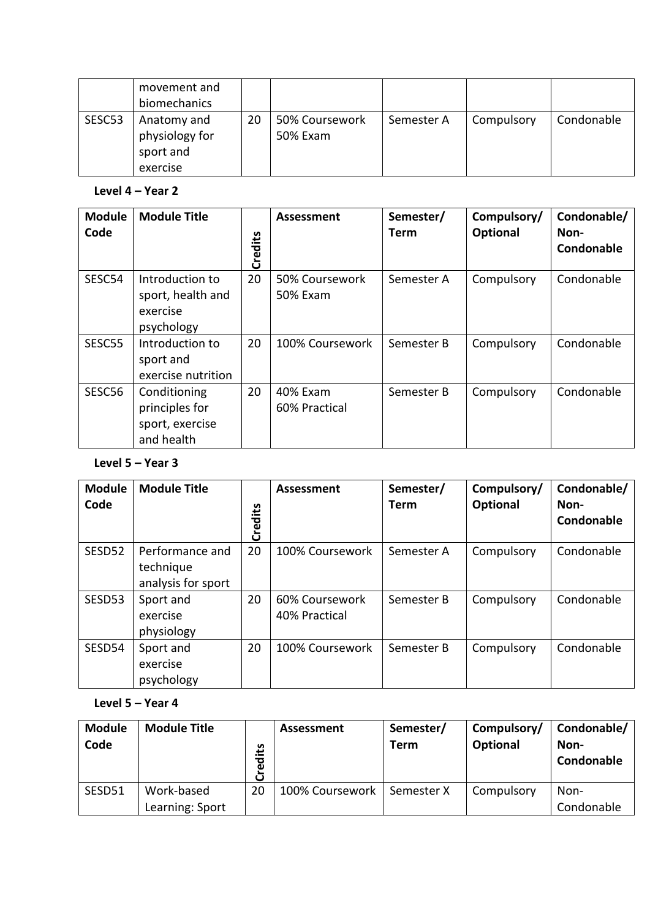|        | movement and<br>biomechanics                           |    |                            |            |            |            |
|--------|--------------------------------------------------------|----|----------------------------|------------|------------|------------|
| SESC53 | Anatomy and<br>physiology for<br>sport and<br>exercise | 20 | 50% Coursework<br>50% Exam | Semester A | Compulsory | Condonable |

#### **Level 4 – Year 2**

| <b>Module</b><br>Code | <b>Module Title</b>                                             | Credits | <b>Assessment</b>          | Semester/<br>Term | Compulsory/<br><b>Optional</b> | Condonable/<br>Non-<br>Condonable |
|-----------------------|-----------------------------------------------------------------|---------|----------------------------|-------------------|--------------------------------|-----------------------------------|
| SESC54                | Introduction to<br>sport, health and<br>exercise<br>psychology  | 20      | 50% Coursework<br>50% Exam | Semester A        | Compulsory                     | Condonable                        |
| SESC55                | Introduction to<br>sport and<br>exercise nutrition              | 20      | 100% Coursework            | Semester B        | Compulsory                     | Condonable                        |
| SESC56                | Conditioning<br>principles for<br>sport, exercise<br>and health | 20      | 40% Exam<br>60% Practical  | Semester B        | Compulsory                     | Condonable                        |

#### **Level 5 – Year 3**

| <b>Module</b><br>Code | <b>Module Title</b>                                | Credits | <b>Assessment</b>               | Semester/<br><b>Term</b> | Compulsory/<br>Optional | Condonable/<br>Non-<br>Condonable |
|-----------------------|----------------------------------------------------|---------|---------------------------------|--------------------------|-------------------------|-----------------------------------|
| SESD52                | Performance and<br>technique<br>analysis for sport | 20      | 100% Coursework                 | Semester A               | Compulsory              | Condonable                        |
| SESD53                | Sport and<br>exercise<br>physiology                | 20      | 60% Coursework<br>40% Practical | Semester B               | Compulsory              | Condonable                        |
| SESD54                | Sport and<br>exercise<br>psychology                | 20      | 100% Coursework                 | Semester B               | Compulsory              | Condonable                        |

### **Level 5 – Year 4**

| <b>Module</b><br>Code | <b>Module Title</b> | Credits | Assessment      | Semester/<br><b>Term</b> | Compulsory/<br><b>Optional</b> | Condonable/<br>Non-<br>Condonable |
|-----------------------|---------------------|---------|-----------------|--------------------------|--------------------------------|-----------------------------------|
| SESD51                | Work-based          | 20      | 100% Coursework | Semester X               | Compulsory                     | Non-                              |
|                       | Learning: Sport     |         |                 |                          |                                | Condonable                        |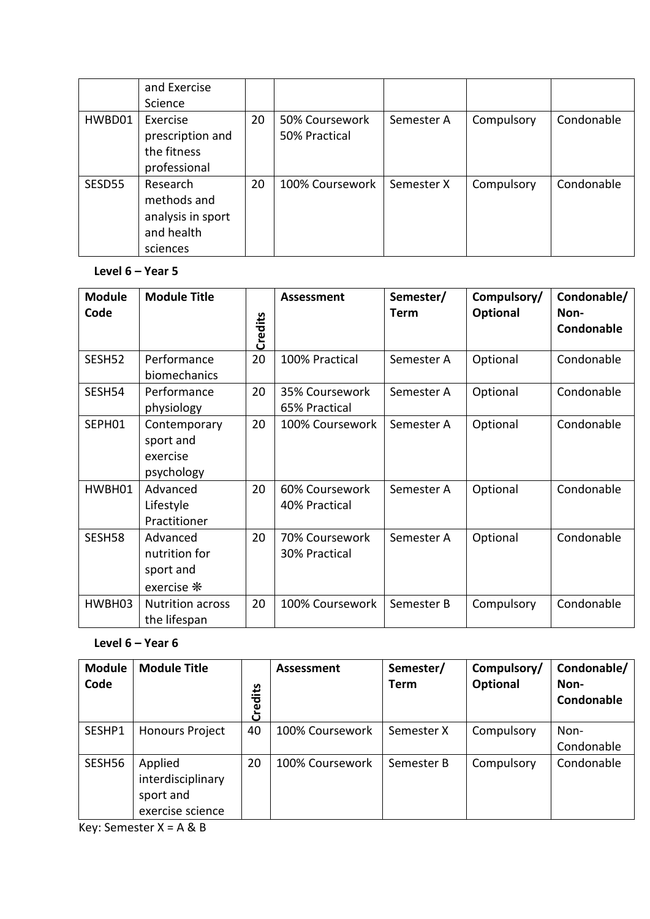|        | and Exercise                                                           |    |                                 |            |            |            |
|--------|------------------------------------------------------------------------|----|---------------------------------|------------|------------|------------|
|        | Science                                                                |    |                                 |            |            |            |
| HWBD01 | Exercise<br>prescription and<br>the fitness<br>professional            | 20 | 50% Coursework<br>50% Practical | Semester A | Compulsory | Condonable |
| SESD55 | Research<br>methods and<br>analysis in sport<br>and health<br>sciences | 20 | 100% Coursework                 | Semester X | Compulsory | Condonable |

## **Level 6 – Year 5**

| <b>Module</b><br>Code | <b>Module Title</b>                                         | Credits | <b>Assessment</b>               | Semester/<br><b>Term</b> | Compulsory/<br>Optional | Condonable/<br>Non-<br>Condonable |
|-----------------------|-------------------------------------------------------------|---------|---------------------------------|--------------------------|-------------------------|-----------------------------------|
| SESH52                | Performance<br>biomechanics                                 | 20      | 100% Practical                  | Semester A               | Optional                | Condonable                        |
| SESH54                | Performance<br>physiology                                   | 20      | 35% Coursework<br>65% Practical | Semester A               | Optional                | Condonable                        |
| SEPH01                | Contemporary<br>sport and<br>exercise<br>psychology         | 20      | 100% Coursework                 | Semester A               | Optional                | Condonable                        |
| HWBH01                | Advanced<br>Lifestyle<br>Practitioner                       | 20      | 60% Coursework<br>40% Practical | Semester A               | Optional                | Condonable                        |
| SESH58                | Advanced<br>nutrition for<br>sport and<br>exercise <b>米</b> | 20      | 70% Coursework<br>30% Practical | Semester A               | Optional                | Condonable                        |
| HWBH03                | <b>Nutrition across</b><br>the lifespan                     | 20      | 100% Coursework                 | Semester B               | Compulsory              | Condonable                        |

# **Level 6 – Year 6**

| <b>Module</b><br>Code | <b>Module Title</b>                                           | Credits | Assessment      | Semester/<br><b>Term</b> | Compulsory/<br>Optional | Condonable/<br>Non-<br>Condonable |
|-----------------------|---------------------------------------------------------------|---------|-----------------|--------------------------|-------------------------|-----------------------------------|
| SESHP1                | <b>Honours Project</b>                                        | 40      | 100% Coursework | Semester X               | Compulsory              | Non-<br>Condonable                |
| SESH56                | Applied<br>interdisciplinary<br>sport and<br>exercise science | 20      | 100% Coursework | Semester B               | Compulsory              | Condonable                        |

Key: Semester  $X = A \& B$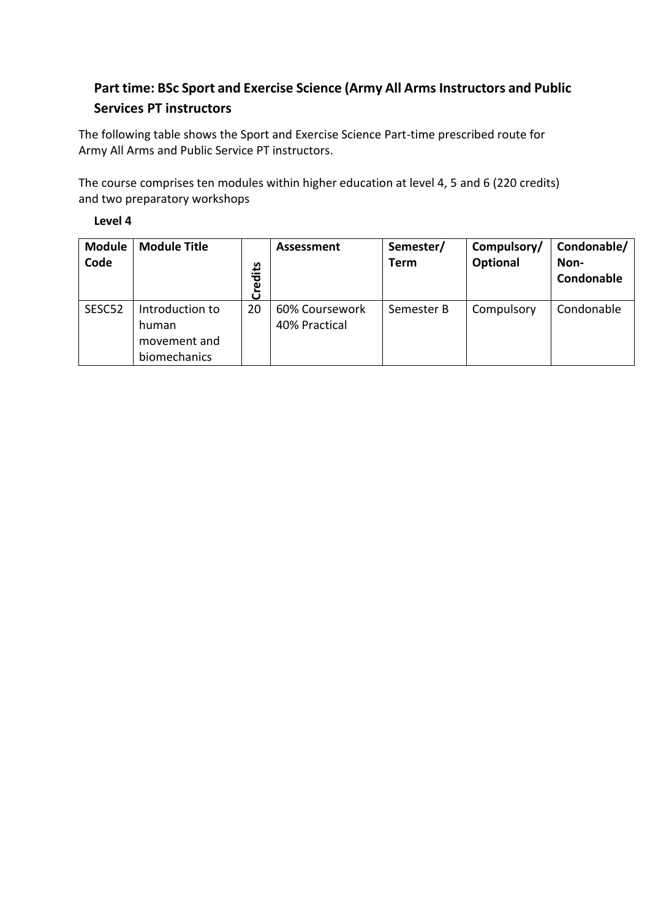# **Part time: BSc Sport and Exercise Science (Army All Arms Instructors and Public Services PT instructors**

The following table shows the Sport and Exercise Science Part-time prescribed route for Army All Arms and Public Service PT instructors.

The course comprises ten modules within higher education at level 4, 5 and 6 (220 credits) and two preparatory workshops

| ι.<br>м<br>٠<br>٠ |  |
|-------------------|--|
|-------------------|--|

| <b>Module</b><br>Code | <b>Module Title</b>                                      | مبر<br>ا<br>Cred | Assessment                      | Semester/<br><b>Term</b> | Compulsory/<br>Optional | Condonable/<br>Non-<br>Condonable |
|-----------------------|----------------------------------------------------------|------------------|---------------------------------|--------------------------|-------------------------|-----------------------------------|
| SESC52                | Introduction to<br>human<br>movement and<br>biomechanics | 20               | 60% Coursework<br>40% Practical | Semester B               | Compulsory              | Condonable                        |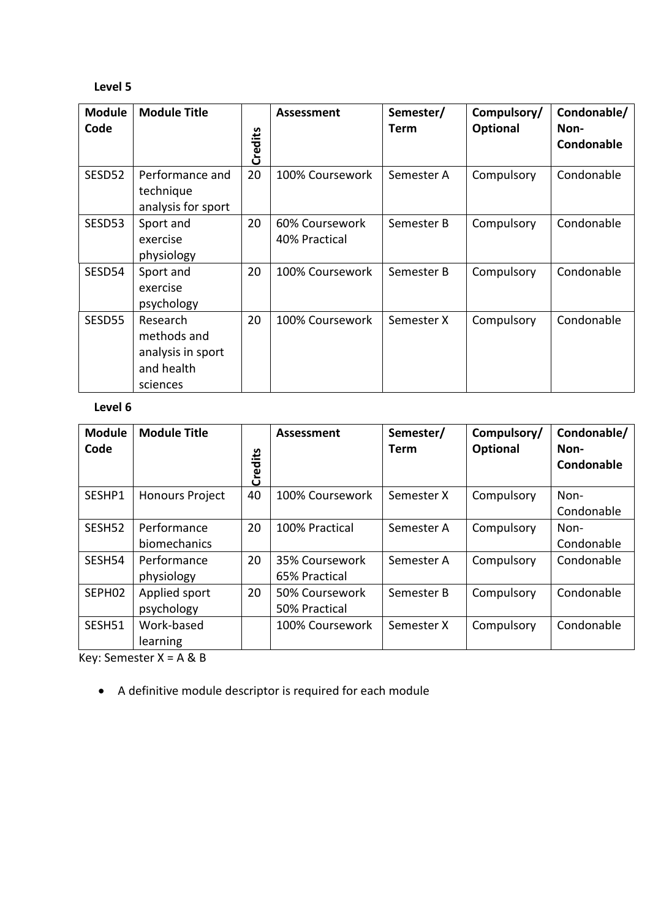### **Level 5**

| <b>Module</b>      | <b>Module Title</b> |         | Assessment      | Semester/   | Compulsory/ | Condonable/ |
|--------------------|---------------------|---------|-----------------|-------------|-------------|-------------|
| Code               |                     |         |                 | <b>Term</b> | Optional    | Non-        |
|                    |                     | Credits |                 |             |             | Condonable  |
| SESD52             | Performance and     | 20      | 100% Coursework | Semester A  | Compulsory  | Condonable  |
|                    | technique           |         |                 |             |             |             |
|                    | analysis for sport  |         |                 |             |             |             |
| SESD <sub>53</sub> | Sport and           | 20      | 60% Coursework  | Semester B  | Compulsory  | Condonable  |
|                    | exercise            |         | 40% Practical   |             |             |             |
|                    | physiology          |         |                 |             |             |             |
| SESD54             | Sport and           | 20      | 100% Coursework | Semester B  | Compulsory  | Condonable  |
|                    | exercise            |         |                 |             |             |             |
|                    | psychology          |         |                 |             |             |             |
| SESD55             | Research            | 20      | 100% Coursework | Semester X  | Compulsory  | Condonable  |
|                    | methods and         |         |                 |             |             |             |
|                    | analysis in sport   |         |                 |             |             |             |
|                    | and health          |         |                 |             |             |             |
|                    | sciences            |         |                 |             |             |             |

## **Level 6**

| <b>Module</b><br>Code | <b>Module Title</b>         | Credits | Assessment                      | Semester/<br>Term | Compulsory/<br>Optional | Condonable/<br>Non-<br>Condonable |
|-----------------------|-----------------------------|---------|---------------------------------|-------------------|-------------------------|-----------------------------------|
| SESHP1                | <b>Honours Project</b>      | 40      | 100% Coursework                 | Semester X        | Compulsory              | Non-<br>Condonable                |
| SESH52                | Performance<br>biomechanics | 20      | 100% Practical                  | Semester A        | Compulsory              | Non-<br>Condonable                |
| SESH54                | Performance<br>physiology   | 20      | 35% Coursework<br>65% Practical | Semester A        | Compulsory              | Condonable                        |
| SEPH02                | Applied sport<br>psychology | 20      | 50% Coursework<br>50% Practical | Semester B        | Compulsory              | Condonable                        |
| SESH51                | Work-based<br>learning      |         | 100% Coursework                 | Semester X        | Compulsory              | Condonable                        |

Key: Semester X = A & B

• A definitive module descriptor is required for each module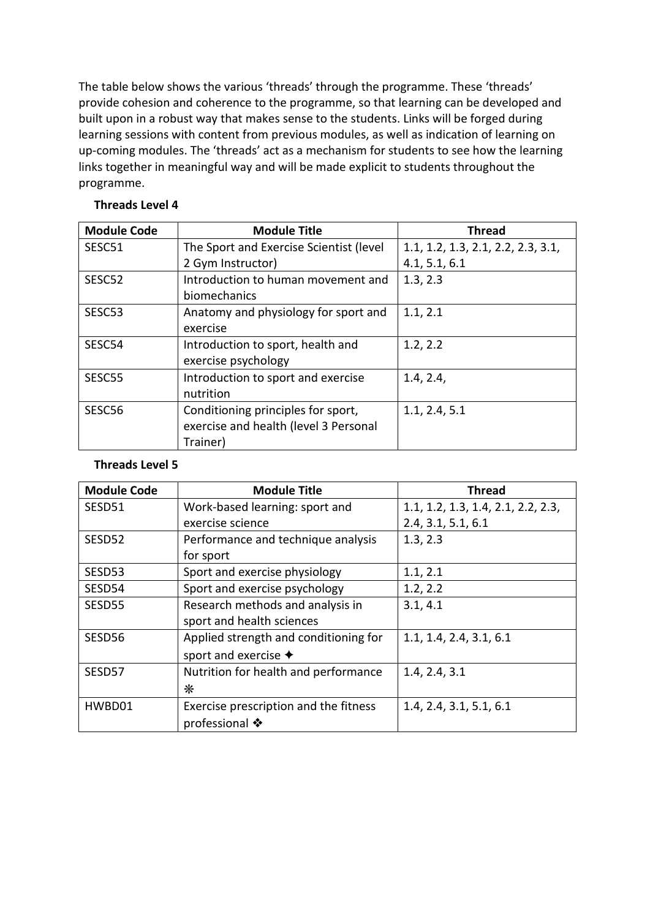The table below shows the various 'threads' through the programme. These 'threads' provide cohesion and coherence to the programme, so that learning can be developed and built upon in a robust way that makes sense to the students. Links will be forged during learning sessions with content from previous modules, as well as indication of learning on up-coming modules. The 'threads' act as a mechanism for students to see how the learning links together in meaningful way and will be made explicit to students throughout the programme.

| <b>Module Code</b> | <b>Module Title</b>                     | <b>Thread</b>                      |
|--------------------|-----------------------------------------|------------------------------------|
| SESC51             | The Sport and Exercise Scientist (level | 1.1, 1.2, 1.3, 2.1, 2.2, 2.3, 3.1, |
|                    | 2 Gym Instructor)                       | 4.1, 5.1, 6.1                      |
| SESC52             | Introduction to human movement and      | 1.3, 2.3                           |
|                    | biomechanics                            |                                    |
| SESC53             | Anatomy and physiology for sport and    | 1.1, 2.1                           |
|                    | exercise                                |                                    |
| SESC54             | Introduction to sport, health and       | 1.2, 2.2                           |
|                    | exercise psychology                     |                                    |
| SESC55             | Introduction to sport and exercise      | 1.4, 2.4,                          |
|                    | nutrition                               |                                    |
| SESC56             | Conditioning principles for sport,      | 1.1, 2.4, 5.1                      |
|                    | exercise and health (level 3 Personal   |                                    |
|                    | Trainer)                                |                                    |

#### **Threads Level 4**

#### **Threads Level 5**

| <b>Module Code</b> | <b>Module Title</b>                   | <b>Thread</b>                      |
|--------------------|---------------------------------------|------------------------------------|
| SESD51             | Work-based learning: sport and        | 1.1, 1.2, 1.3, 1.4, 2.1, 2.2, 2.3, |
|                    | exercise science                      | 2.4, 3.1, 5.1, 6.1                 |
| SESD <sub>52</sub> | Performance and technique analysis    | 1.3, 2.3                           |
|                    | for sport                             |                                    |
| SESD53             | Sport and exercise physiology         | 1.1, 2.1                           |
| SESD54             | Sport and exercise psychology         | 1.2, 2.2                           |
| SESD55             | Research methods and analysis in      | 3.1, 4.1                           |
|                    | sport and health sciences             |                                    |
| SESD56             | Applied strength and conditioning for | 1.1, 1.4, 2.4, 3.1, 6.1            |
|                    | sport and exercise $\triangleleft$    |                                    |
| SESD57             | Nutrition for health and performance  | 1.4, 2.4, 3.1                      |
|                    | $\ast$                                |                                    |
| HWBD01             | Exercise prescription and the fitness | 1.4, 2.4, 3.1, 5.1, 6.1            |
|                    | professional ❖                        |                                    |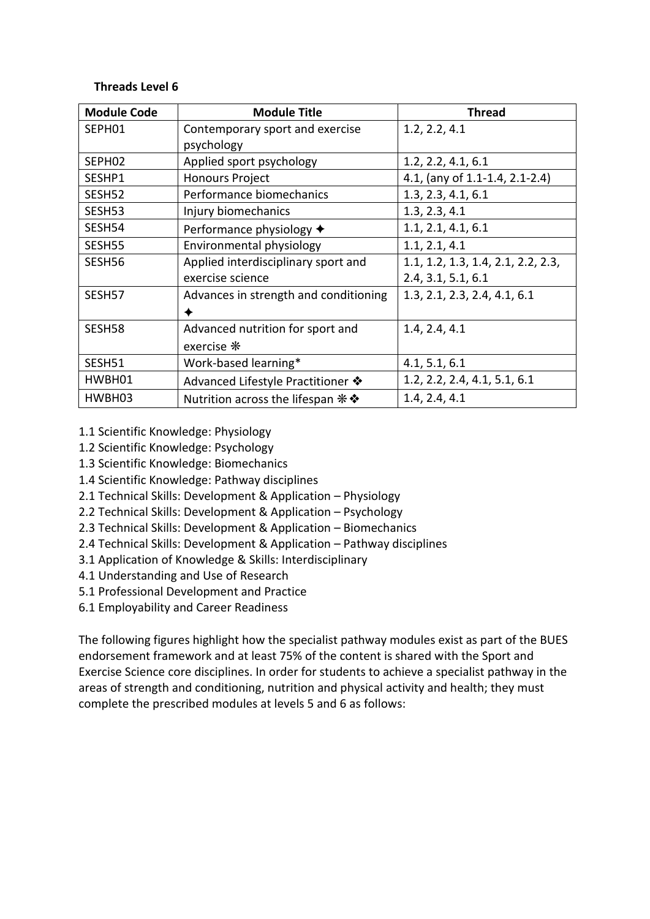#### **Threads Level 6**

| <b>Module Code</b> | <b>Module Title</b>                         | <b>Thread</b>                      |
|--------------------|---------------------------------------------|------------------------------------|
| SEPH01             | Contemporary sport and exercise             | 1.2, 2.2, 4.1                      |
|                    | psychology                                  |                                    |
| SEPH02             | Applied sport psychology                    | 1.2, 2.2, 4.1, 6.1                 |
| SESHP1             | <b>Honours Project</b>                      | 4.1, (any of 1.1-1.4, 2.1-2.4)     |
| SESH52             | Performance biomechanics                    | 1.3, 2.3, 4.1, 6.1                 |
| SESH53             | Injury biomechanics                         | 1.3, 2.3, 4.1                      |
| SESH54             | Performance physiology ◆                    | 1.1, 2.1, 4.1, 6.1                 |
| SESH55             | Environmental physiology                    | 1.1, 2.1, 4.1                      |
| SESH56             | Applied interdisciplinary sport and         | 1.1, 1.2, 1.3, 1.4, 2.1, 2.2, 2.3, |
|                    | exercise science                            | 2.4, 3.1, 5.1, 6.1                 |
| SESH57             | Advances in strength and conditioning       | 1.3, 2.1, 2.3, 2.4, 4.1, 6.1       |
|                    |                                             |                                    |
| SESH58             | Advanced nutrition for sport and            | 1.4, 2.4, 4.1                      |
|                    | exercise *                                  |                                    |
| SESH51             | Work-based learning*                        | 4.1, 5.1, 6.1                      |
| HWBH01             | Advanced Lifestyle Practitioner �           | 1.2, 2.2, 2.4, 4.1, 5.1, 6.1       |
| HWBH03             | Nutrition across the lifespan $\ast\bullet$ | 1.4, 2.4, 4.1                      |

- 1.1 Scientific Knowledge: Physiology
- 1.2 Scientific Knowledge: Psychology
- 1.3 Scientific Knowledge: Biomechanics
- 1.4 Scientific Knowledge: Pathway disciplines
- 2.1 Technical Skills: Development & Application Physiology
- 2.2 Technical Skills: Development & Application Psychology
- 2.3 Technical Skills: Development & Application Biomechanics
- 2.4 Technical Skills: Development & Application Pathway disciplines
- 3.1 Application of Knowledge & Skills: Interdisciplinary
- 4.1 Understanding and Use of Research
- 5.1 Professional Development and Practice
- 6.1 Employability and Career Readiness

The following figures highlight how the specialist pathway modules exist as part of the BUES endorsement framework and at least 75% of the content is shared with the Sport and Exercise Science core disciplines. In order for students to achieve a specialist pathway in the areas of strength and conditioning, nutrition and physical activity and health; they must complete the prescribed modules at levels 5 and 6 as follows: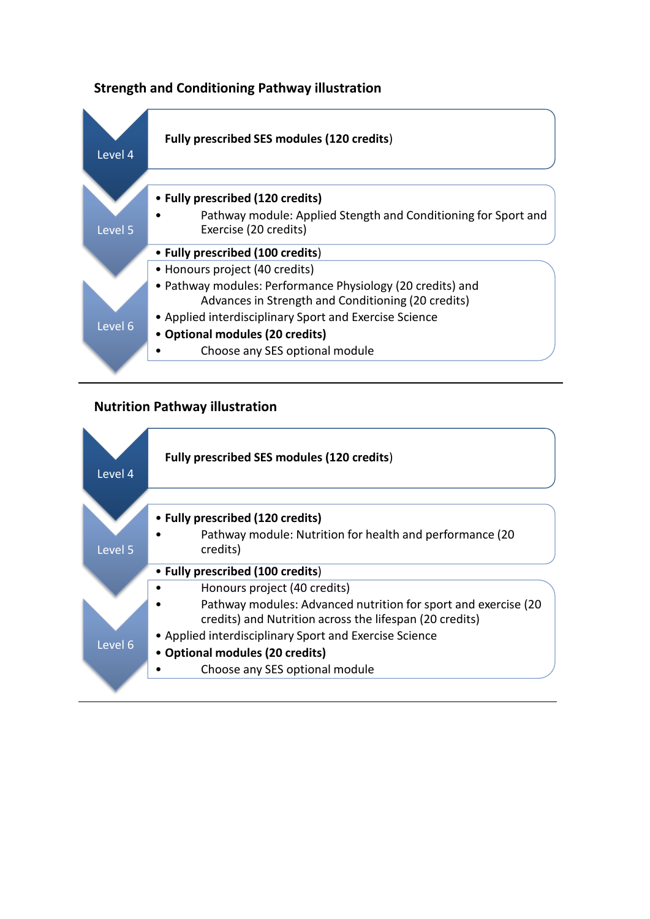## **Strength and Conditioning Pathway illustration**



## **Nutrition Pathway illustration**

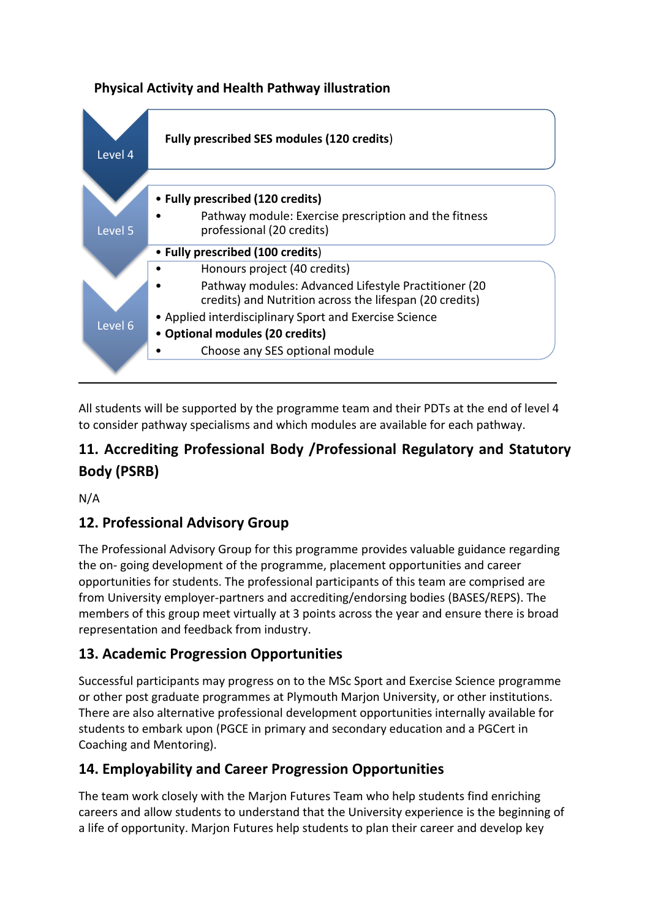# **Physical Activity and Health Pathway illustration**



All students will be supported by the programme team and their PDTs at the end of level 4 to consider pathway specialisms and which modules are available for each pathway.

# **11. Accrediting Professional Body /Professional Regulatory and Statutory Body (PSRB)**

N/A

# **12. Professional Advisory Group**

The Professional Advisory Group for this programme provides valuable guidance regarding the on- going development of the programme, placement opportunities and career opportunities for students. The professional participants of this team are comprised are from University employer-partners and accrediting/endorsing bodies (BASES/REPS). The members of this group meet virtually at 3 points across the year and ensure there is broad representation and feedback from industry.

# **13. Academic Progression Opportunities**

Successful participants may progress on to the MSc Sport and Exercise Science programme or other post graduate programmes at Plymouth Marjon University, or other institutions. There are also alternative professional development opportunities internally available for students to embark upon (PGCE in primary and secondary education and a PGCert in Coaching and Mentoring).

# **14. Employability and Career Progression Opportunities**

The team work closely with the Marjon Futures Team who help students find enriching careers and allow students to understand that the University experience is the beginning of a life of opportunity. Marjon Futures help students to plan their career and develop key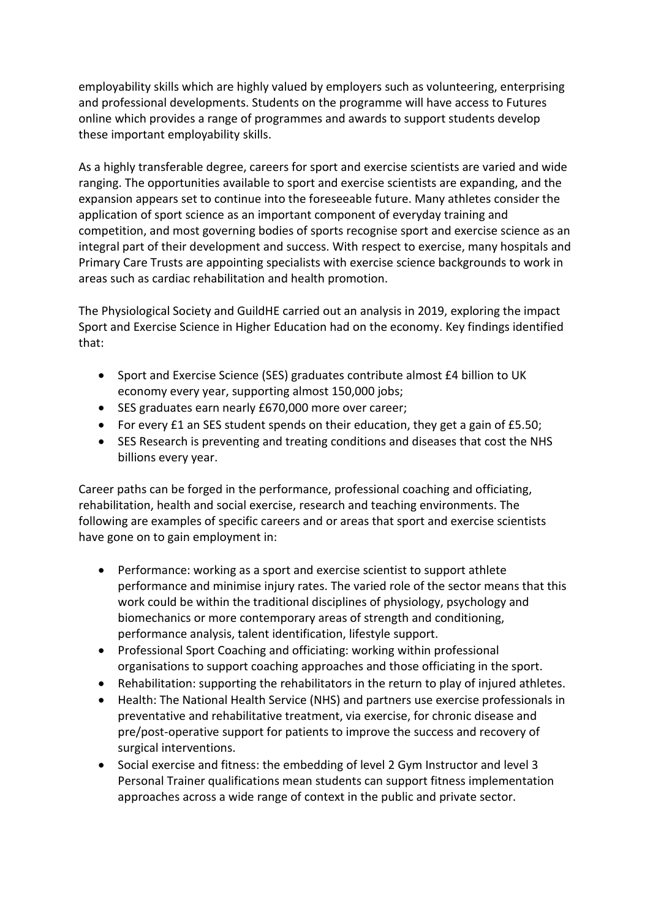employability skills which are highly valued by employers such as volunteering, enterprising and professional developments. Students on the programme will have access to Futures online which provides a range of programmes and awards to support students develop these important employability skills.

As a highly transferable degree, careers for sport and exercise scientists are varied and wide ranging. The opportunities available to sport and exercise scientists are expanding, and the expansion appears set to continue into the foreseeable future. Many athletes consider the application of sport science as an important component of everyday training and competition, and most governing bodies of sports recognise sport and exercise science as an integral part of their development and success. With respect to exercise, many hospitals and Primary Care Trusts are appointing specialists with exercise science backgrounds to work in areas such as cardiac rehabilitation and health promotion.

The Physiological Society and GuildHE carried out an analysis in 2019, exploring the impact Sport and Exercise Science in Higher Education had on the economy. Key findings identified that:

- Sport and Exercise Science (SES) graduates contribute almost £4 billion to UK economy every year, supporting almost 150,000 jobs;
- SES graduates earn nearly £670,000 more over career;
- For every £1 an SES student spends on their education, they get a gain of £5.50;
- SES Research is preventing and treating conditions and diseases that cost the NHS billions every year.

Career paths can be forged in the performance, professional coaching and officiating, rehabilitation, health and social exercise, research and teaching environments. The following are examples of specific careers and or areas that sport and exercise scientists have gone on to gain employment in:

- Performance: working as a sport and exercise scientist to support athlete performance and minimise injury rates. The varied role of the sector means that this work could be within the traditional disciplines of physiology, psychology and biomechanics or more contemporary areas of strength and conditioning, performance analysis, talent identification, lifestyle support.
- Professional Sport Coaching and officiating: working within professional organisations to support coaching approaches and those officiating in the sport.
- Rehabilitation: supporting the rehabilitators in the return to play of injured athletes.
- Health: The National Health Service (NHS) and partners use exercise professionals in preventative and rehabilitative treatment, via exercise, for chronic disease and pre/post-operative support for patients to improve the success and recovery of surgical interventions.
- Social exercise and fitness: the embedding of level 2 Gym Instructor and level 3 Personal Trainer qualifications mean students can support fitness implementation approaches across a wide range of context in the public and private sector.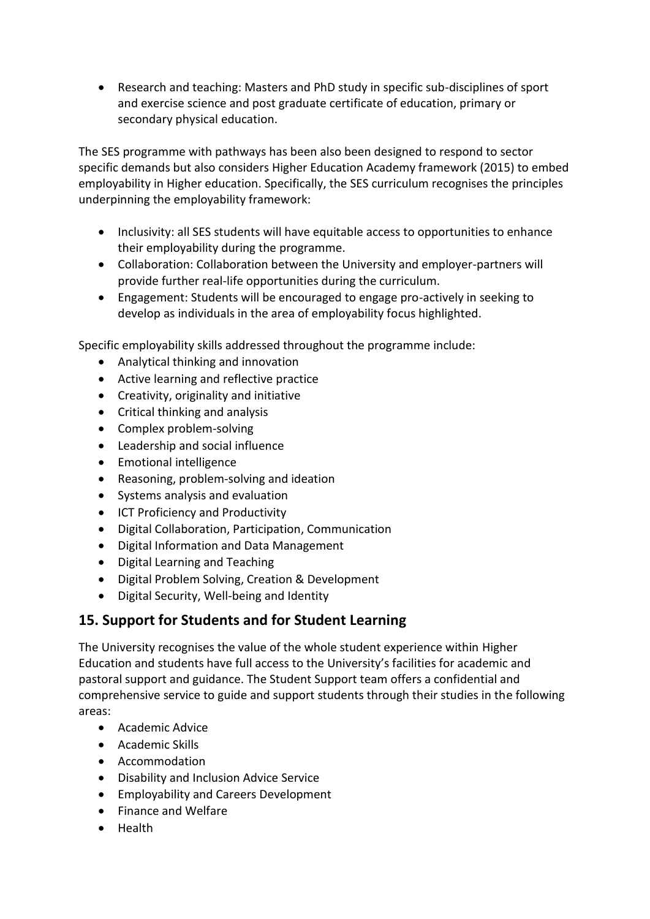• Research and teaching: Masters and PhD study in specific sub-disciplines of sport and exercise science and post graduate certificate of education, primary or secondary physical education.

The SES programme with pathways has been also been designed to respond to sector specific demands but also considers Higher Education Academy framework (2015) to embed employability in Higher education. Specifically, the SES curriculum recognises the principles underpinning the employability framework:

- Inclusivity: all SES students will have equitable access to opportunities to enhance their employability during the programme.
- Collaboration: Collaboration between the University and employer-partners will provide further real-life opportunities during the curriculum.
- Engagement: Students will be encouraged to engage pro-actively in seeking to develop as individuals in the area of employability focus highlighted.

Specific employability skills addressed throughout the programme include:

- Analytical thinking and innovation
- Active learning and reflective practice
- Creativity, originality and initiative
- Critical thinking and analysis
- Complex problem-solving
- Leadership and social influence
- Emotional intelligence
- Reasoning, problem-solving and ideation
- Systems analysis and evaluation
- ICT Proficiency and Productivity
- Digital Collaboration, Participation, Communication
- Digital Information and Data Management
- Digital Learning and Teaching
- Digital Problem Solving, Creation & Development
- Digital Security, Well-being and Identity

# **15. Support for Students and for Student Learning**

The University recognises the value of the whole student experience within Higher Education and students have full access to the University's facilities for academic and pastoral support and guidance. The Student Support team offers a confidential and comprehensive service to guide and support students through their studies in the following areas:

- Academic Advice
- Academic Skills
- Accommodation
- Disability and Inclusion Advice Service
- Employability and Careers Development
- Finance and Welfare
- Health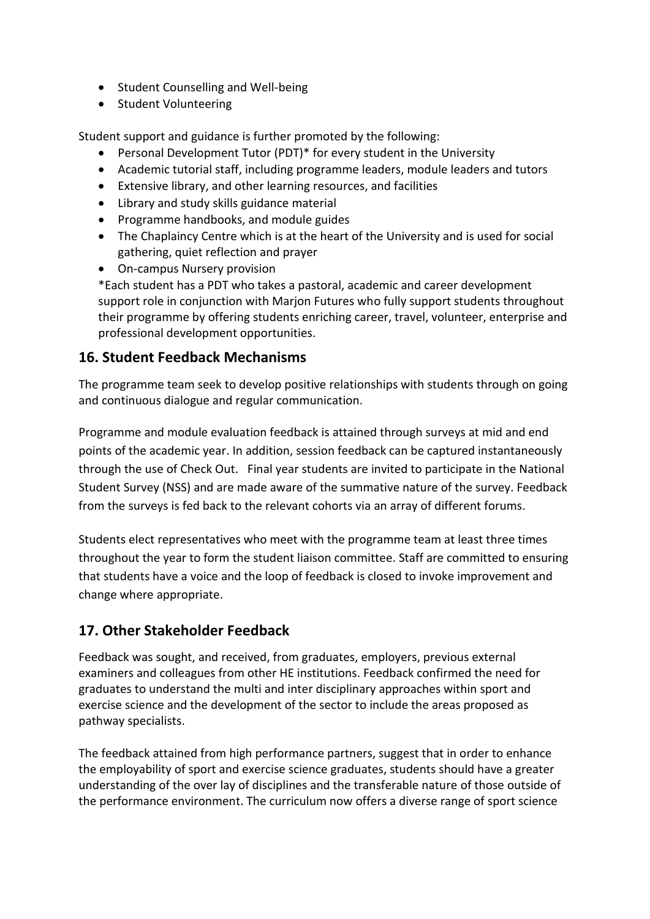- Student Counselling and Well-being
- Student Volunteering

Student support and guidance is further promoted by the following:

- Personal Development Tutor (PDT)\* for every student in the University
- Academic tutorial staff, including programme leaders, module leaders and tutors
- Extensive library, and other learning resources, and facilities
- Library and study skills guidance material
- Programme handbooks, and module guides
- The Chaplaincy Centre which is at the heart of the University and is used for social gathering, quiet reflection and prayer
- On-campus Nursery provision

\*Each student has a PDT who takes a pastoral, academic and career development support role in conjunction with Marjon Futures who fully support students throughout their programme by offering students enriching career, travel, volunteer, enterprise and professional development opportunities.

## **16. Student Feedback Mechanisms**

The programme team seek to develop positive relationships with students through on going and continuous dialogue and regular communication.

Programme and module evaluation feedback is attained through surveys at mid and end points of the academic year. In addition, session feedback can be captured instantaneously through the use of Check Out. Final year students are invited to participate in the National Student Survey (NSS) and are made aware of the summative nature of the survey. Feedback from the surveys is fed back to the relevant cohorts via an array of different forums.

Students elect representatives who meet with the programme team at least three times throughout the year to form the student liaison committee. Staff are committed to ensuring that students have a voice and the loop of feedback is closed to invoke improvement and change where appropriate.

# **17. Other Stakeholder Feedback**

Feedback was sought, and received, from graduates, employers, previous external examiners and colleagues from other HE institutions. Feedback confirmed the need for graduates to understand the multi and inter disciplinary approaches within sport and exercise science and the development of the sector to include the areas proposed as pathway specialists.

The feedback attained from high performance partners, suggest that in order to enhance the employability of sport and exercise science graduates, students should have a greater understanding of the over lay of disciplines and the transferable nature of those outside of the performance environment. The curriculum now offers a diverse range of sport science